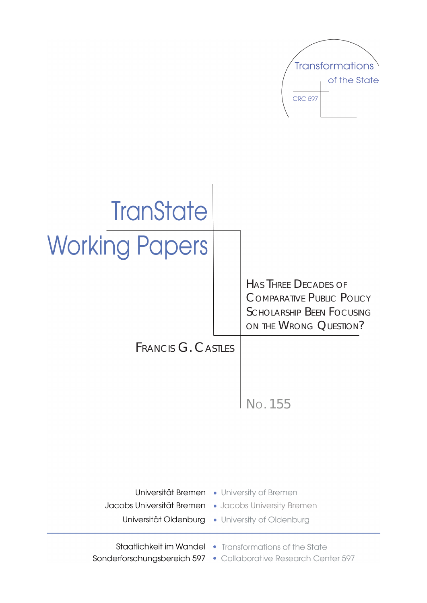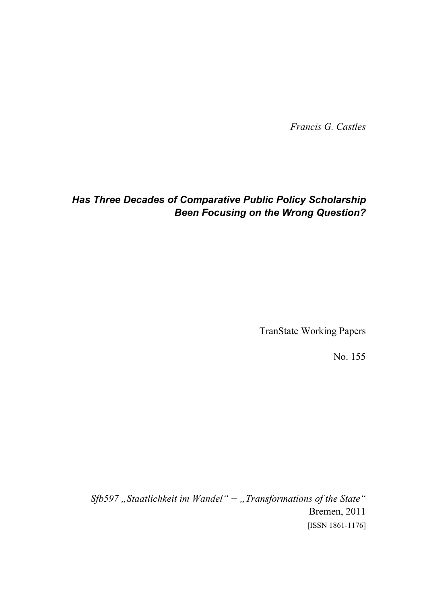*Francis G. Castles* 

# *Has Three Decades of Comparative Public Policy Scholarship Been Focusing on the Wrong Question?*

TranState Working Papers

No. 155

*Sfb597 "Staatlichkeit im Wandel" − "Transformations of the State"*  Bremen, 2011 [ISSN 1861-1176]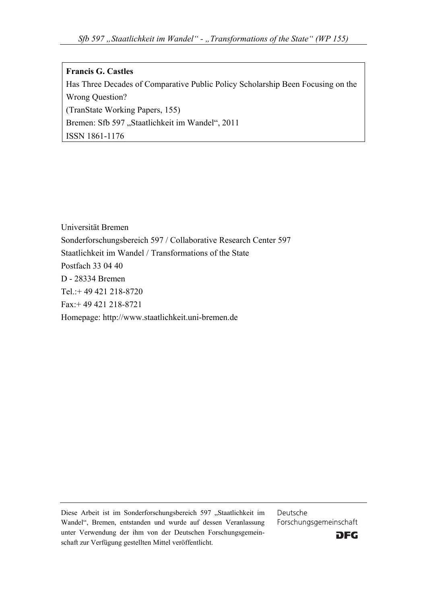#### **Francis G. Castles**

Has Three Decades of Comparative Public Policy Scholarship Been Focusing on the Wrong Question? (TranState Working Papers, 155) Bremen: Sfb 597 "Staatlichkeit im Wandel", 2011 ISSN 1861-1176

Universität Bremen Sonderforschungsbereich 597 / Collaborative Research Center 597 Staatlichkeit im Wandel / Transformations of the State Postfach 33 04 40 D - 28334 Bremen Tel : + 49 421 218-8720 Fax:+ 49 421 218-8721 Homepage: http://www.staatlichkeit.uni-bremen.de

Diese Arbeit ist im Sonderforschungsbereich 597 "Staatlichkeit im Wandel", Bremen, entstanden und wurde auf dessen Veranlassung unter Verwendung der ihm von der Deutschen Forschungsgemeinschaft zur Verfügung gestellten Mittel veröffentlicht.

Deutsche Forschungsgemeinschaft

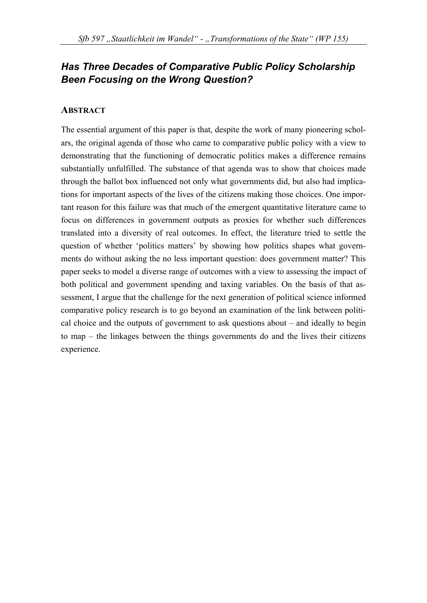# *Has Three Decades of Comparative Public Policy Scholarship Been Focusing on the Wrong Question?*

#### **ABSTRACT**

The essential argument of this paper is that, despite the work of many pioneering scholars, the original agenda of those who came to comparative public policy with a view to demonstrating that the functioning of democratic politics makes a difference remains substantially unfulfilled. The substance of that agenda was to show that choices made through the ballot box influenced not only what governments did, but also had implications for important aspects of the lives of the citizens making those choices. One important reason for this failure was that much of the emergent quantitative literature came to focus on differences in government outputs as proxies for whether such differences translated into a diversity of real outcomes. In effect, the literature tried to settle the question of whether 'politics matters' by showing how politics shapes what governments do without asking the no less important question: does government matter? This paper seeks to model a diverse range of outcomes with a view to assessing the impact of both political and government spending and taxing variables. On the basis of that assessment, I argue that the challenge for the next generation of political science informed comparative policy research is to go beyond an examination of the link between political choice and the outputs of government to ask questions about – and ideally to begin to map – the linkages between the things governments do and the lives their citizens experience.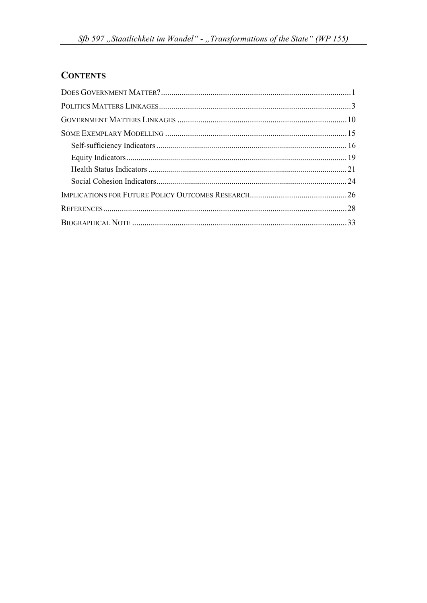# **CONTENTS**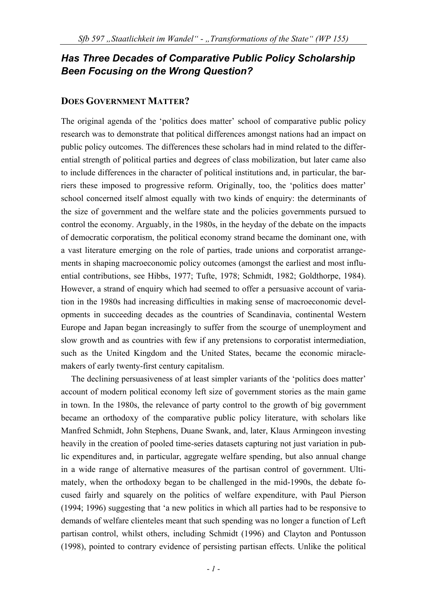# *Has Three Decades of Comparative Public Policy Scholarship Been Focusing on the Wrong Question?*

#### **DOES GOVERNMENT MATTER?**

The original agenda of the 'politics does matter' school of comparative public policy research was to demonstrate that political differences amongst nations had an impact on public policy outcomes. The differences these scholars had in mind related to the differential strength of political parties and degrees of class mobilization, but later came also to include differences in the character of political institutions and, in particular, the barriers these imposed to progressive reform. Originally, too, the 'politics does matter' school concerned itself almost equally with two kinds of enquiry: the determinants of the size of government and the welfare state and the policies governments pursued to control the economy. Arguably, in the 1980s, in the heyday of the debate on the impacts of democratic corporatism, the political economy strand became the dominant one, with a vast literature emerging on the role of parties, trade unions and corporatist arrangements in shaping macroeconomic policy outcomes (amongst the earliest and most influential contributions, see Hibbs, 1977; Tufte, 1978; Schmidt, 1982; Goldthorpe, 1984). However, a strand of enquiry which had seemed to offer a persuasive account of variation in the 1980s had increasing difficulties in making sense of macroeconomic developments in succeeding decades as the countries of Scandinavia, continental Western Europe and Japan began increasingly to suffer from the scourge of unemployment and slow growth and as countries with few if any pretensions to corporatist intermediation, such as the United Kingdom and the United States, became the economic miraclemakers of early twenty-first century capitalism.

The declining persuasiveness of at least simpler variants of the 'politics does matter' account of modern political economy left size of government stories as the main game in town. In the 1980s, the relevance of party control to the growth of big government became an orthodoxy of the comparative public policy literature, with scholars like Manfred Schmidt, John Stephens, Duane Swank, and, later, Klaus Armingeon investing heavily in the creation of pooled time-series datasets capturing not just variation in public expenditures and, in particular, aggregate welfare spending, but also annual change in a wide range of alternative measures of the partisan control of government. Ultimately, when the orthodoxy began to be challenged in the mid-1990s, the debate focused fairly and squarely on the politics of welfare expenditure, with Paul Pierson (1994; 1996) suggesting that 'a new politics in which all parties had to be responsive to demands of welfare clienteles meant that such spending was no longer a function of Left partisan control, whilst others, including Schmidt (1996) and Clayton and Pontusson (1998), pointed to contrary evidence of persisting partisan effects. Unlike the political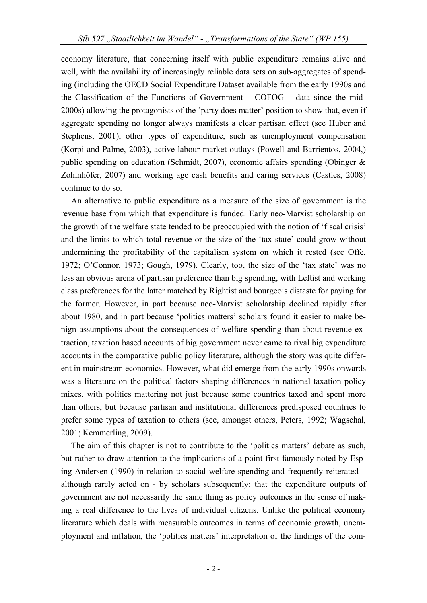economy literature, that concerning itself with public expenditure remains alive and well, with the availability of increasingly reliable data sets on sub-aggregates of spending (including the OECD Social Expenditure Dataset available from the early 1990s and the Classification of the Functions of Government – COFOG – data since the mid-2000s) allowing the protagonists of the 'party does matter' position to show that, even if aggregate spending no longer always manifests a clear partisan effect (see Huber and Stephens, 2001), other types of expenditure, such as unemployment compensation (Korpi and Palme, 2003), active labour market outlays (Powell and Barrientos, 2004,) public spending on education (Schmidt, 2007), economic affairs spending (Obinger & Zohlnhöfer, 2007) and working age cash benefits and caring services (Castles, 2008) continue to do so.

An alternative to public expenditure as a measure of the size of government is the revenue base from which that expenditure is funded. Early neo-Marxist scholarship on the growth of the welfare state tended to be preoccupied with the notion of 'fiscal crisis' and the limits to which total revenue or the size of the 'tax state' could grow without undermining the profitability of the capitalism system on which it rested (see Offe, 1972; O'Connor, 1973; Gough, 1979). Clearly, too, the size of the 'tax state' was no less an obvious arena of partisan preference than big spending, with Leftist and working class preferences for the latter matched by Rightist and bourgeois distaste for paying for the former. However, in part because neo-Marxist scholarship declined rapidly after about 1980, and in part because 'politics matters' scholars found it easier to make benign assumptions about the consequences of welfare spending than about revenue extraction, taxation based accounts of big government never came to rival big expenditure accounts in the comparative public policy literature, although the story was quite different in mainstream economics. However, what did emerge from the early 1990s onwards was a literature on the political factors shaping differences in national taxation policy mixes, with politics mattering not just because some countries taxed and spent more than others, but because partisan and institutional differences predisposed countries to prefer some types of taxation to others (see, amongst others, Peters, 1992; Wagschal, 2001; Kemmerling, 2009).

The aim of this chapter is not to contribute to the 'politics matters' debate as such, but rather to draw attention to the implications of a point first famously noted by Esping-Andersen (1990) in relation to social welfare spending and frequently reiterated – although rarely acted on - by scholars subsequently: that the expenditure outputs of government are not necessarily the same thing as policy outcomes in the sense of making a real difference to the lives of individual citizens. Unlike the political economy literature which deals with measurable outcomes in terms of economic growth, unemployment and inflation, the 'politics matters' interpretation of the findings of the com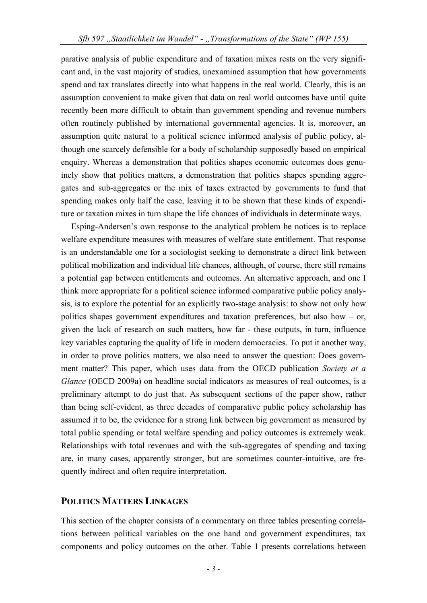parative analysis of public expenditure and of taxation mixes rests on the very significant and, in the vast majority of studies, unexamined assumption that how governments spend and tax translates directly into what happens in the real world. Clearly, this is an assumption convenient to make given that data on real world outcomes have until quite recently been more difficult to obtain than government spending and revenue numbers often routinely published by international governmental agencies. It is, moreover, an assumption quite natural to a political science informed analysis of public policy, although one scarcely defensible for a body of scholarship supposedly based on empirical enquiry. Whereas a demonstration that politics shapes economic outcomes does genuinely show that politics matters, a demonstration that politics shapes spending aggregates and sub-aggregates or the mix of taxes extracted by governments to fund that spending makes only half the case, leaving it to be shown that these kinds of expenditure or taxation mixes in turn shape the life chances of individuals in determinate ways.

Esping-Andersen's own response to the analytical problem he notices is to replace welfare expenditure measures with measures of welfare state entitlement. That response is an understandable one for a sociologist seeking to demonstrate a direct link between political mobilization and individual life chances, although, of course, there still remains a potential gap between entitlements and outcomes. An alternative approach, and one I think more appropriate for a political science informed comparative public policy analysis, is to explore the potential for an explicitly two-stage analysis: to show not only how politics shapes government expenditures and taxation preferences, but also how – or, given the lack of research on such matters, how far - these outputs, in turn, influence key variables capturing the quality of life in modern democracies. To put it another way, in order to prove politics matters, we also need to answer the question: Does government matter? This paper, which uses data from the OECD publication *Society at a Glance* (OECD 2009a) on headline social indicators as measures of real outcomes, is a preliminary attempt to do just that. As subsequent sections of the paper show, rather than being self-evident, as three decades of comparative public policy scholarship has assumed it to be, the evidence for a strong link between big government as measured by total public spending or total welfare spending and policy outcomes is extremely weak. Relationships with total revenues and with the sub-aggregates of spending and taxing are, in many cases, apparently stronger, but are sometimes counter-intuitive, are frequently indirect and often require interpretation.

#### **POLITICS MATTERS LINKAGES**

This section of the chapter consists of a commentary on three tables presenting correlations between political variables on the one hand and government expenditures, tax components and policy outcomes on the other. Table 1 presents correlations between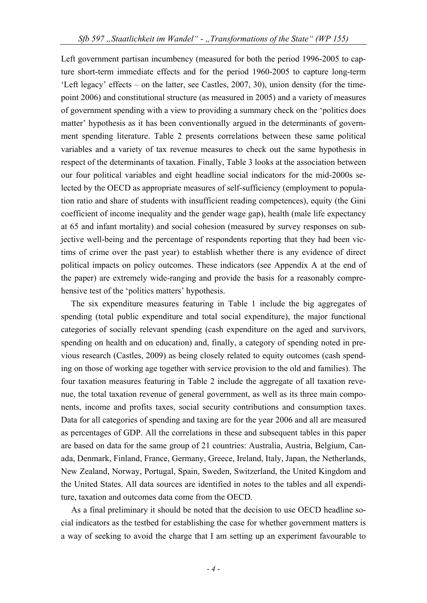Left government partisan incumbency (measured for both the period 1996-2005 to capture short-term immediate effects and for the period 1960-2005 to capture long-term 'Left legacy' effects – on the latter, see Castles, 2007, 30), union density (for the timepoint 2006) and constitutional structure (as measured in 2005) and a variety of measures of government spending with a view to providing a summary check on the 'politics does matter' hypothesis as it has been conventionally argued in the determinants of government spending literature. Table 2 presents correlations between these same political variables and a variety of tax revenue measures to check out the same hypothesis in respect of the determinants of taxation. Finally, Table 3 looks at the association between our four political variables and eight headline social indicators for the mid-2000s selected by the OECD as appropriate measures of self-sufficiency (employment to population ratio and share of students with insufficient reading competences), equity (the Gini coefficient of income inequality and the gender wage gap), health (male life expectancy at 65 and infant mortality) and social cohesion (measured by survey responses on subjective well-being and the percentage of respondents reporting that they had been victims of crime over the past year) to establish whether there is any evidence of direct political impacts on policy outcomes. These indicators (see Appendix A at the end of the paper) are extremely wide-ranging and provide the basis for a reasonably comprehensive test of the 'politics matters' hypothesis.

The six expenditure measures featuring in Table 1 include the big aggregates of spending (total public expenditure and total social expenditure), the major functional categories of socially relevant spending (cash expenditure on the aged and survivors, spending on health and on education) and, finally, a category of spending noted in previous research (Castles, 2009) as being closely related to equity outcomes (cash spending on those of working age together with service provision to the old and families). The four taxation measures featuring in Table 2 include the aggregate of all taxation revenue, the total taxation revenue of general government, as well as its three main components, income and profits taxes, social security contributions and consumption taxes. Data for all categories of spending and taxing are for the year 2006 and all are measured as percentages of GDP. All the correlations in these and subsequent tables in this paper are based on data for the same group of 21 countries: Australia, Austria, Belgium, Canada, Denmark, Finland, France, Germany, Greece, Ireland, Italy, Japan, the Netherlands, New Zealand, Norway, Portugal, Spain, Sweden, Switzerland, the United Kingdom and the United States. All data sources are identified in notes to the tables and all expenditure, taxation and outcomes data come from the OECD.

As a final preliminary it should be noted that the decision to use OECD headline social indicators as the testbed for establishing the case for whether government matters is a way of seeking to avoid the charge that I am setting up an experiment favourable to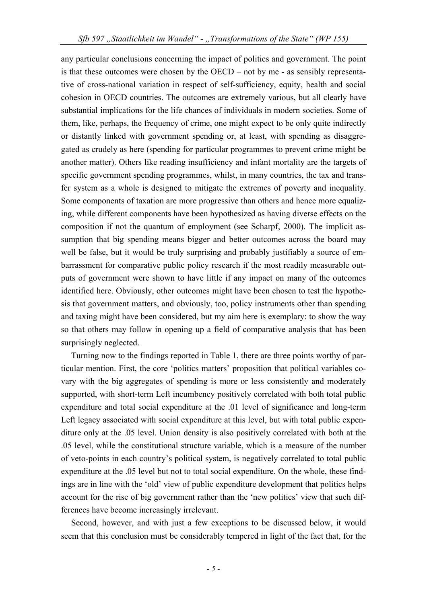any particular conclusions concerning the impact of politics and government. The point is that these outcomes were chosen by the OECD – not by me - as sensibly representative of cross-national variation in respect of self-sufficiency, equity, health and social cohesion in OECD countries. The outcomes are extremely various, but all clearly have substantial implications for the life chances of individuals in modern societies. Some of them, like, perhaps, the frequency of crime, one might expect to be only quite indirectly or distantly linked with government spending or, at least, with spending as disaggregated as crudely as here (spending for particular programmes to prevent crime might be another matter). Others like reading insufficiency and infant mortality are the targets of specific government spending programmes, whilst, in many countries, the tax and transfer system as a whole is designed to mitigate the extremes of poverty and inequality. Some components of taxation are more progressive than others and hence more equalizing, while different components have been hypothesized as having diverse effects on the composition if not the quantum of employment (see Scharpf, 2000). The implicit assumption that big spending means bigger and better outcomes across the board may well be false, but it would be truly surprising and probably justifiably a source of embarrassment for comparative public policy research if the most readily measurable outputs of government were shown to have little if any impact on many of the outcomes identified here. Obviously, other outcomes might have been chosen to test the hypothesis that government matters, and obviously, too, policy instruments other than spending and taxing might have been considered, but my aim here is exemplary: to show the way so that others may follow in opening up a field of comparative analysis that has been surprisingly neglected.

Turning now to the findings reported in Table 1, there are three points worthy of particular mention. First, the core 'politics matters' proposition that political variables covary with the big aggregates of spending is more or less consistently and moderately supported, with short-term Left incumbency positively correlated with both total public expenditure and total social expenditure at the .01 level of significance and long-term Left legacy associated with social expenditure at this level, but with total public expenditure only at the .05 level. Union density is also positively correlated with both at the .05 level, while the constitutional structure variable, which is a measure of the number of veto-points in each country's political system, is negatively correlated to total public expenditure at the .05 level but not to total social expenditure. On the whole, these findings are in line with the 'old' view of public expenditure development that politics helps account for the rise of big government rather than the 'new politics' view that such differences have become increasingly irrelevant.

Second, however, and with just a few exceptions to be discussed below, it would seem that this conclusion must be considerably tempered in light of the fact that, for the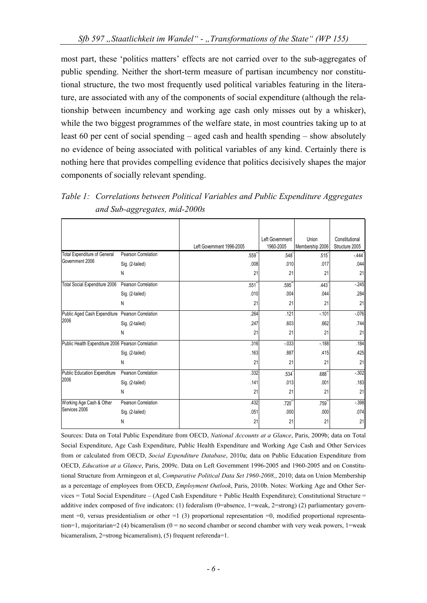most part, these 'politics matters' effects are not carried over to the sub-aggregates of public spending. Neither the short-term measure of partisan incumbency nor constitutional structure, the two most frequently used political variables featuring in the literature, are associated with any of the components of social expenditure (although the relationship between incumbency and working age cash only misses out by a whisker), while the two biggest programmes of the welfare state, in most countries taking up to at least 60 per cent of social spending – aged cash and health spending – show absolutely no evidence of being associated with political variables of any kind. Certainly there is nothing here that provides compelling evidence that politics decisively shapes the major components of socially relevant spending.

*Table 1: Correlations between Political Variables and Public Expenditure Aggregates and Sub-aggregates, mid-2000s* 

|                                                    |                     |                           | Left Government     | Union               | Constitutional      |
|----------------------------------------------------|---------------------|---------------------------|---------------------|---------------------|---------------------|
|                                                    |                     | Left Government 1996-2005 | 1960-2005           | Membership 2006     | Structure 2005      |
| <b>Total Expenditure of General</b>                | Pearson Correlation | $.559$ <sup>*</sup>       | .548                | $.515$ <sup>*</sup> | $-444$ <sup>*</sup> |
| Government 2006                                    | Sig. (2-tailed)     | .008                      | .010                | .017                | .044                |
|                                                    | N                   | 21                        | 21                  | 21                  | 21                  |
| Total Social Expenditure 2006                      | Pearson Correlation | .551                      | $.595$ <sup>*</sup> | .443                | $-245$              |
|                                                    | Sig. (2-tailed)     | .010                      | .004                | .044                | .284                |
|                                                    | N                   | 21                        | 21                  | 21                  | 21                  |
| Public Aged Cash Expenditure Pearson Correlation   |                     | .264                      | .121                | $-101$              | $-076$              |
| 2006                                               | Sig. (2-tailed)     | .247                      | .603                | .662                | .744                |
|                                                    | N                   | 21                        | 21                  | 21                  | 21                  |
| Public Health Expenditure 2006 Pearson Correlation |                     | .316                      | $-033$              | $-188$              | .184                |
|                                                    | Sig. (2-tailed)     | .163                      | .887                | .415                | .425                |
|                                                    | N                   | 21                        | 21                  | 21                  | 21                  |
| <b>Public Education Expenditure</b>                | Pearson Correlation | .332                      | .534                | $.688$ <sup>*</sup> | $-302$              |
| 2006                                               | Sig. (2-tailed)     | .141                      | .013                | .001                | .183                |
|                                                    | N                   | 21                        | 21                  | 21                  | 21                  |
| Working Age Cash & Other                           | Pearson Correlation | .432                      | .720                | .759                | $-.398$             |
| Services 2006                                      | Sig. (2-tailed)     | .051                      | .000                | .000                | .074                |
|                                                    | N                   | 21                        | 21                  | 21                  | 21                  |

Sources: Data on Total Public Expenditure from OECD, *National Accounts at a Glance*, Paris, 2009b; data on Total Social Expenditure, Age Cash Expenditure, Public Health Expenditure and Working Age Cash and Other Services from or calculated from OECD, *Social Expenditure Database*, 2010a; data on Public Education Expenditure from OECD, *Education at a Glance*, Paris, 2009c. Data on Left Government 1996-2005 and 1960-2005 and on Constitutional Structure from Armingeon et al, *Comparative Political Data Set 1960-2008,*, 2010; data on Union Membership as a percentage of employees from OECD, *Employment Outlook*, Paris, 2010b. Notes: Working Age and Other Services = Total Social Expenditure – (Aged Cash Expenditure + Public Health Expenditure); Constitutional Structure = additive index composed of five indicators: (1) federalism (0=absence, 1=weak, 2=strong) (2) parliamentary government  $=0$ , versus presidentialism or other  $=1$  (3) proportional representation  $=0$ , modified proportional representation=1, majoritarian=2 (4) bicameralism (0 = no second chamber or second chamber with very weak powers, 1=weak bicameralism, 2=strong bicameralism), (5) frequent referenda=1.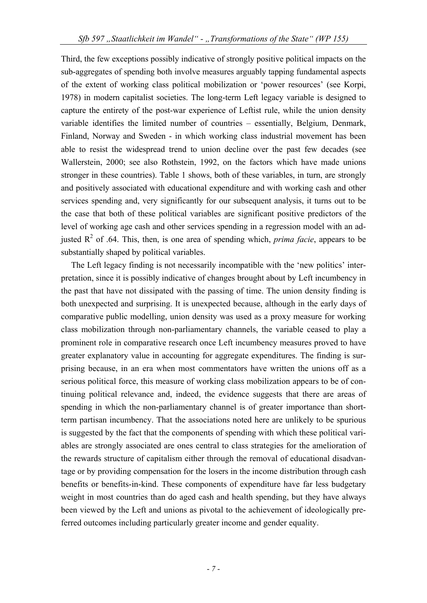Third, the few exceptions possibly indicative of strongly positive political impacts on the sub-aggregates of spending both involve measures arguably tapping fundamental aspects of the extent of working class political mobilization or 'power resources' (see Korpi, 1978) in modern capitalist societies. The long-term Left legacy variable is designed to capture the entirety of the post-war experience of Leftist rule, while the union density variable identifies the limited number of countries – essentially, Belgium, Denmark, Finland, Norway and Sweden - in which working class industrial movement has been able to resist the widespread trend to union decline over the past few decades (see Wallerstein, 2000; see also Rothstein, 1992, on the factors which have made unions stronger in these countries). Table 1 shows, both of these variables, in turn, are strongly and positively associated with educational expenditure and with working cash and other services spending and, very significantly for our subsequent analysis, it turns out to be the case that both of these political variables are significant positive predictors of the level of working age cash and other services spending in a regression model with an adjusted  $R^2$  of .64. This, then, is one area of spending which, *prima facie*, appears to be substantially shaped by political variables.

The Left legacy finding is not necessarily incompatible with the 'new politics' interpretation, since it is possibly indicative of changes brought about by Left incumbency in the past that have not dissipated with the passing of time. The union density finding is both unexpected and surprising. It is unexpected because, although in the early days of comparative public modelling, union density was used as a proxy measure for working class mobilization through non-parliamentary channels, the variable ceased to play a prominent role in comparative research once Left incumbency measures proved to have greater explanatory value in accounting for aggregate expenditures. The finding is surprising because, in an era when most commentators have written the unions off as a serious political force, this measure of working class mobilization appears to be of continuing political relevance and, indeed, the evidence suggests that there are areas of spending in which the non-parliamentary channel is of greater importance than shortterm partisan incumbency. That the associations noted here are unlikely to be spurious is suggested by the fact that the components of spending with which these political variables are strongly associated are ones central to class strategies for the amelioration of the rewards structure of capitalism either through the removal of educational disadvantage or by providing compensation for the losers in the income distribution through cash benefits or benefits-in-kind. These components of expenditure have far less budgetary weight in most countries than do aged cash and health spending, but they have always been viewed by the Left and unions as pivotal to the achievement of ideologically preferred outcomes including particularly greater income and gender equality.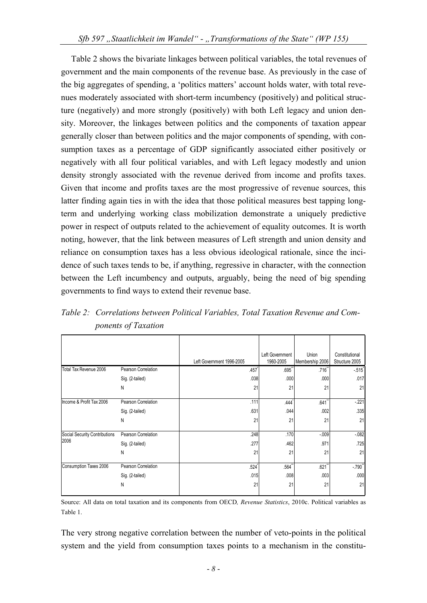Table 2 shows the bivariate linkages between political variables, the total revenues of government and the main components of the revenue base. As previously in the case of the big aggregates of spending, a 'politics matters' account holds water, with total revenues moderately associated with short-term incumbency (positively) and political structure (negatively) and more strongly (positively) with both Left legacy and union density. Moreover, the linkages between politics and the components of taxation appear generally closer than between politics and the major components of spending, with consumption taxes as a percentage of GDP significantly associated either positively or negatively with all four political variables, and with Left legacy modestly and union density strongly associated with the revenue derived from income and profits taxes. Given that income and profits taxes are the most progressive of revenue sources, this latter finding again ties in with the idea that those political measures best tapping longterm and underlying working class mobilization demonstrate a uniquely predictive power in respect of outputs related to the achievement of equality outcomes. It is worth noting, however, that the link between measures of Left strength and union density and reliance on consumption taxes has a less obvious ideological rationale, since the incidence of such taxes tends to be, if anything, regressive in character, with the connection between the Left incumbency and outputs, arguably, being the need of big spending governments to find ways to extend their revenue base.

*Table 2: Correlations between Political Variables, Total Taxation Revenue and Components of Taxation* 

|                               |                     | Left Government 1996-2005 |      | Left Government<br>1960-2005 | Union<br>Membership 2006 | Constitutional<br>Structure 2005 |
|-------------------------------|---------------------|---------------------------|------|------------------------------|--------------------------|----------------------------------|
| Total Tax Revenue 2006        | Pearson Correlation |                           | .457 | .695"                        | $.716$ <sup>**</sup>     | $-515$                           |
|                               | Sig. (2-tailed)     |                           | .038 | .000                         | .000                     | .017                             |
|                               | Ν                   |                           | 21   | 21                           | 21                       | 21                               |
| Income & Profit Tax 2006      | Pearson Correlation |                           | .111 | .444                         | .641                     | $-221$                           |
|                               | Sig. (2-tailed)     |                           | .631 | .044                         | .002                     | .335                             |
|                               | Ν                   |                           | 21   | 21                           | 21                       | 21                               |
| Social Security Contributions | Pearson Correlation |                           | .248 | .170                         | $-.009$                  | $-082$                           |
| 2006                          | Sig. (2-tailed)     |                           | .277 | .462                         | .971                     | .725                             |
|                               | Ν                   |                           | 21   | 21                           | 21                       | 21                               |
| Consumption Taxes 2006        | Pearson Correlation |                           | .524 | .564                         | $.621$ <sup>*</sup>      | $-790"$                          |
|                               | Sig. (2-tailed)     |                           | .015 | .008                         | .003                     | .000                             |
|                               | N                   |                           | 21   | 21                           | 21                       | 21                               |

Source: All data on total taxation and its components from OECD*, Revenue Statistics*, 2010c. Political variables as Table 1.

The very strong negative correlation between the number of veto-points in the political system and the yield from consumption taxes points to a mechanism in the constitu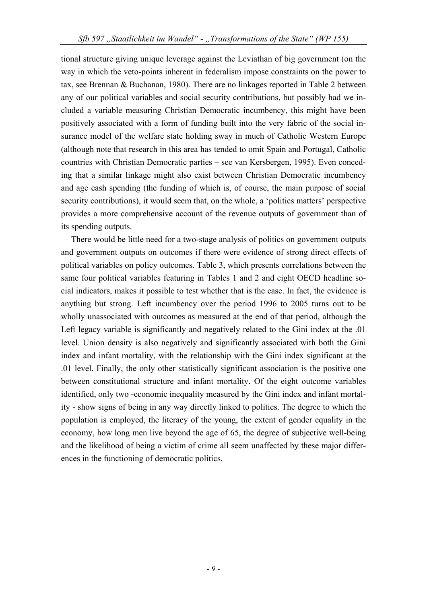tional structure giving unique leverage against the Leviathan of big government (on the way in which the veto-points inherent in federalism impose constraints on the power to tax, see Brennan & Buchanan, 1980). There are no linkages reported in Table 2 between any of our political variables and social security contributions, but possibly had we included a variable measuring Christian Democratic incumbency, this might have been positively associated with a form of funding built into the very fabric of the social insurance model of the welfare state holding sway in much of Catholic Western Europe (although note that research in this area has tended to omit Spain and Portugal, Catholic countries with Christian Democratic parties – see van Kersbergen, 1995). Even conceding that a similar linkage might also exist between Christian Democratic incumbency and age cash spending (the funding of which is, of course, the main purpose of social security contributions), it would seem that, on the whole, a 'politics matters' perspective provides a more comprehensive account of the revenue outputs of government than of its spending outputs.

There would be little need for a two-stage analysis of politics on government outputs and government outputs on outcomes if there were evidence of strong direct effects of political variables on policy outcomes. Table 3, which presents correlations between the same four political variables featuring in Tables 1 and 2 and eight OECD headline social indicators, makes it possible to test whether that is the case. In fact, the evidence is anything but strong. Left incumbency over the period 1996 to 2005 turns out to be wholly unassociated with outcomes as measured at the end of that period, although the Left legacy variable is significantly and negatively related to the Gini index at the .01 level. Union density is also negatively and significantly associated with both the Gini index and infant mortality, with the relationship with the Gini index significant at the .01 level. Finally, the only other statistically significant association is the positive one between constitutional structure and infant mortality. Of the eight outcome variables identified, only two -economic inequality measured by the Gini index and infant mortality - show signs of being in any way directly linked to politics. The degree to which the population is employed, the literacy of the young, the extent of gender equality in the economy, how long men live beyond the age of 65, the degree of subjective well-being and the likelihood of being a victim of crime all seem unaffected by these major differences in the functioning of democratic politics.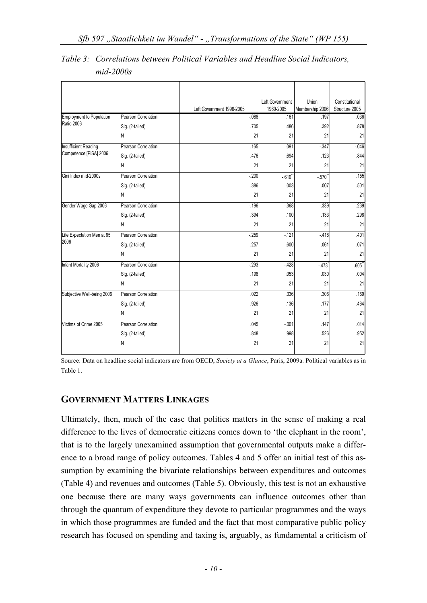|                                                                                                                                                                                                                       |                     | Left Government 1996-2005 | Left Government<br>1960-2005 | Union<br>Membership 2006 | Constitutional<br>Structure 2005 |
|-----------------------------------------------------------------------------------------------------------------------------------------------------------------------------------------------------------------------|---------------------|---------------------------|------------------------------|--------------------------|----------------------------------|
|                                                                                                                                                                                                                       | Pearson Correlation | $-088$                    | .161                         | .197                     | .036                             |
|                                                                                                                                                                                                                       | Sig. (2-tailed)     | .705                      | .486                         | .392                     | .878                             |
|                                                                                                                                                                                                                       | N                   | 21                        | 21                           | 21                       | 21                               |
|                                                                                                                                                                                                                       | Pearson Correlation | .165                      | .091                         | $-347$                   | $-0.046$                         |
|                                                                                                                                                                                                                       | Sig. (2-tailed)     | .476                      | .694                         | .123                     | .844                             |
|                                                                                                                                                                                                                       | N                   | 21                        | 21                           | 21                       | 21                               |
| Gini Index mid-2000s                                                                                                                                                                                                  | Pearson Correlation | $-200$                    | $-.610$ <sup>*</sup>         | $-.570"$                 | .155                             |
|                                                                                                                                                                                                                       | Sig. (2-tailed)     | .386                      | .003                         | .007                     | .501                             |
|                                                                                                                                                                                                                       | N                   | 21                        | 21                           | 21                       | 21                               |
| Gender Wage Gap 2006                                                                                                                                                                                                  | Pearson Correlation | $-196$                    | $-368$                       | $-339$                   | .239                             |
|                                                                                                                                                                                                                       | Sig. (2-tailed)     | .394                      | .100                         | .133                     | .298                             |
|                                                                                                                                                                                                                       | N                   | 21                        | 21                           | 21                       | 21                               |
|                                                                                                                                                                                                                       | Pearson Correlation | $-259$                    | $-121$                       | $-416$                   | .401                             |
|                                                                                                                                                                                                                       | Sig. (2-tailed)     | .257                      | .600                         | .061                     | .071                             |
| <b>Employment to Population</b><br>Ratio 2006<br>Insufficient Reading<br>Competence [PISA] 2006<br>Life Expectation Men at 65<br>2006<br>Infant Mortality 2006<br>Subjective Well-being 2006<br>Victims of Crime 2005 | N                   | 21                        | 21                           | 21                       | 21                               |
|                                                                                                                                                                                                                       | Pearson Correlation | $-293$                    | $-428$                       | $-473$                   | $.605*$                          |
|                                                                                                                                                                                                                       | Sig. (2-tailed)     | .198                      | .053                         | .030                     | .004                             |
|                                                                                                                                                                                                                       | N                   | 21                        | 21                           | 21                       | 21                               |
|                                                                                                                                                                                                                       | Pearson Correlation | .022                      | .336                         | .306                     | .169                             |
|                                                                                                                                                                                                                       | Sig. (2-tailed)     | .926                      | .136                         | .177                     | .464                             |
|                                                                                                                                                                                                                       | N                   | 21                        | 21                           | 21                       | 21                               |
|                                                                                                                                                                                                                       | Pearson Correlation | .045                      | $-.001$                      | .147                     | .014                             |
|                                                                                                                                                                                                                       | Sig. (2-tailed)     | .848                      | .998                         | .526                     | .952                             |
|                                                                                                                                                                                                                       | N                   | 21                        | 21                           | 21                       | 21                               |

*Table 3: Correlations between Political Variables and Headline Social Indicators, mid-2000s* 

Source: Data on headline social indicators are from OECD, *Society at a Glance*, Paris, 2009a. Political variables as in Table 1.

# **GOVERNMENT MATTERS LINKAGES**

Ultimately, then, much of the case that politics matters in the sense of making a real difference to the lives of democratic citizens comes down to 'the elephant in the room', that is to the largely unexamined assumption that governmental outputs make a difference to a broad range of policy outcomes. Tables 4 and 5 offer an initial test of this assumption by examining the bivariate relationships between expenditures and outcomes (Table 4) and revenues and outcomes (Table 5). Obviously, this test is not an exhaustive one because there are many ways governments can influence outcomes other than through the quantum of expenditure they devote to particular programmes and the ways in which those programmes are funded and the fact that most comparative public policy research has focused on spending and taxing is, arguably, as fundamental a criticism of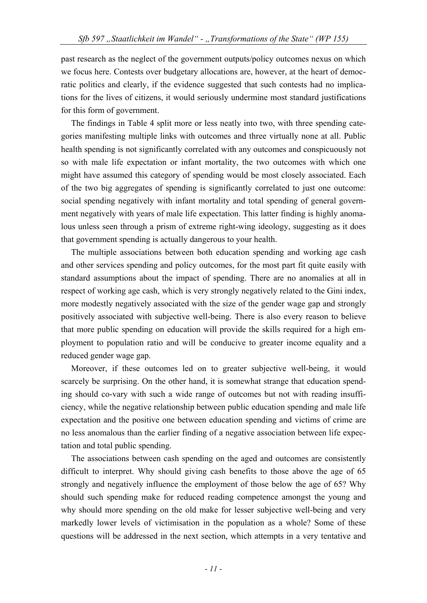past research as the neglect of the government outputs/policy outcomes nexus on which we focus here. Contests over budgetary allocations are, however, at the heart of democratic politics and clearly, if the evidence suggested that such contests had no implications for the lives of citizens, it would seriously undermine most standard justifications for this form of government.

The findings in Table 4 split more or less neatly into two, with three spending categories manifesting multiple links with outcomes and three virtually none at all. Public health spending is not significantly correlated with any outcomes and conspicuously not so with male life expectation or infant mortality, the two outcomes with which one might have assumed this category of spending would be most closely associated. Each of the two big aggregates of spending is significantly correlated to just one outcome: social spending negatively with infant mortality and total spending of general government negatively with years of male life expectation. This latter finding is highly anomalous unless seen through a prism of extreme right-wing ideology, suggesting as it does that government spending is actually dangerous to your health.

The multiple associations between both education spending and working age cash and other services spending and policy outcomes, for the most part fit quite easily with standard assumptions about the impact of spending. There are no anomalies at all in respect of working age cash, which is very strongly negatively related to the Gini index, more modestly negatively associated with the size of the gender wage gap and strongly positively associated with subjective well-being. There is also every reason to believe that more public spending on education will provide the skills required for a high employment to population ratio and will be conducive to greater income equality and a reduced gender wage gap.

Moreover, if these outcomes led on to greater subjective well-being, it would scarcely be surprising. On the other hand, it is somewhat strange that education spending should co-vary with such a wide range of outcomes but not with reading insufficiency, while the negative relationship between public education spending and male life expectation and the positive one between education spending and victims of crime are no less anomalous than the earlier finding of a negative association between life expectation and total public spending.

The associations between cash spending on the aged and outcomes are consistently difficult to interpret. Why should giving cash benefits to those above the age of 65 strongly and negatively influence the employment of those below the age of 65? Why should such spending make for reduced reading competence amongst the young and why should more spending on the old make for lesser subjective well-being and very markedly lower levels of victimisation in the population as a whole? Some of these questions will be addressed in the next section, which attempts in a very tentative and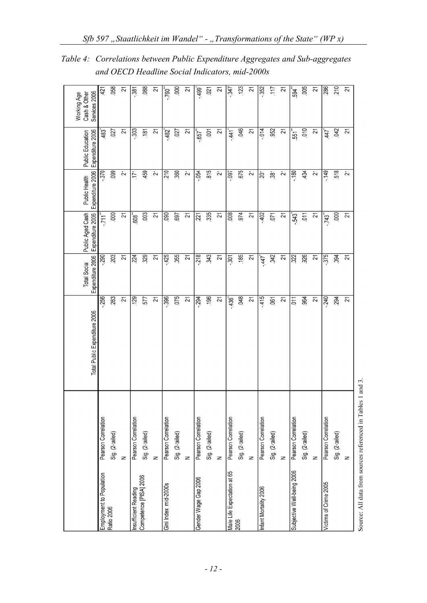|                             |                     | Total Public Expenditure 2006 | Expenditure 2006<br><b>Total Social</b> | Public Aged Cash<br>Expenditure 2006 | Expenditure 2006<br>Public Health | Expenditure 2006<br>Public Education | Services 2006<br>Working Age<br>Cash & Other |
|-----------------------------|---------------------|-------------------------------|-----------------------------------------|--------------------------------------|-----------------------------------|--------------------------------------|----------------------------------------------|
| Employment to Population    | Pearson Correlation | 256                           | $-290$                                  | $-711^{n}$                           | .370                              | 483                                  | 421                                          |
| Ratio 2006                  | Sig. (2-tailed)     | 263                           | 203                                     | .000                                 | 099                               | 027                                  | 058                                          |
|                             | z                   | 21                            | 21                                      | 21                                   | 21                                | 21                                   | 21                                           |
| Insufficient Reading        | Pearson Correlation | 129                           | 224                                     | ້ອ                                   | .171                              | .303                                 | .381                                         |
| Competence [PISA] 2006      | Sig. (2-tailed)     | 577                           | 329                                     | .003                                 | 459                               | 181                                  | 088                                          |
|                             | $\geq$              | $\overline{2}$                | 21                                      | 21                                   | 21                                | 21                                   | 21                                           |
| Gini Index mid-2000s        | Pearson Correlation | .396                          | 425                                     | 090                                  | 210                               | 482                                  | -760 <sup>*</sup>                            |
|                             | Sig. (2-tailed)     | 075                           | .055                                    | 697                                  | .360                              | .027                                 | 500                                          |
|                             | z                   | 21                            | 21                                      | $\overline{2}$                       | 21                                | $\overline{21}$                      | $\overline{2}$                               |
| Gender Wage Gap 2006        | Pearson Correlation | .294                          | 218                                     | 221                                  | .054                              | .657                                 | 499                                          |
|                             | Sig. (2-tailed)     | .196                          | .343                                    | 335                                  | 815                               | $-001$                               | .021                                         |
|                             | z                   | $\overline{2}$                | 21                                      | $\overline{2}$                       | 21                                | $\overline{2}1$                      | $\overline{2}$                               |
| Male Life Expectation at 65 | Pearson Correlation | $-436$                        | 301                                     | 008                                  | $-0.097$                          | $-441$                               | $-347$                                       |
| 2006                        | Sig. (2-tailed)     | $-048$                        | .185                                    | 974                                  | .675                              | .046                                 | .123                                         |
|                             | z                   | 21                            | $\overline{21}$                         | 21                                   | 21                                | 21                                   | $\overline{2}$                               |
| Infant Mortality 2006       | Pearson Correlation | $-415$                        | $-447$                                  | -402                                 | $\overline{20}$                   | .014                                 | .352                                         |
|                             | Sig. (2-tailed)     | .061                          | .042                                    | .071                                 | 38 <sub>1</sub>                   | .952                                 | 117                                          |
|                             | $\overline{z}$      | 21                            | 21                                      | 21                                   | 21                                | 21                                   | 21                                           |
| Subjective Well-being 2006  | Pearson Correlation | $\overline{5}$                | 022                                     | $-543$                               | $-180$                            | 551                                  | 594                                          |
|                             | Sig. (2-tailed)     | 964                           | 926                                     | 011                                  | $-434$                            | .010                                 | 005                                          |
|                             | $\geq$              | 21                            | $\overline{21}$                         | 21                                   | 21                                | $\overline{21}$                      | 21                                           |
| Victims of Crime 2005       | Pearson Correlation | $-240$                        | .375                                    | $-743$                               | $-149$                            | 447                                  | 286                                          |
|                             | Sig. (2-tailed)     | 294                           | .094                                    | 000                                  | 518                               | 042                                  | 210                                          |
|                             | $\geq$              | 21                            | 21                                      | 21                                   | 21                                | $\overline{21}$                      | $\overline{21}$                              |
|                             |                     |                               |                                         |                                      |                                   |                                      |                                              |

*Table 4: Correlations between Public Expenditure Aggregates and Sub-aggregates and OECD Headline Social Indicators, mid-2000s* 

Source: All data from sources referenced in Tables 1 and 3.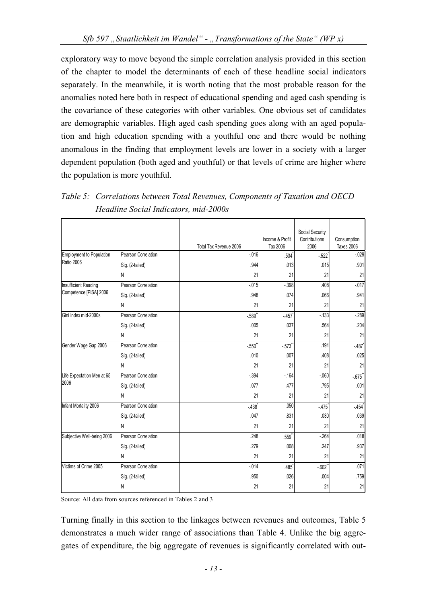exploratory way to move beyond the simple correlation analysis provided in this section of the chapter to model the determinants of each of these headline social indicators separately. In the meanwhile, it is worth noting that the most probable reason for the anomalies noted here both in respect of educational spending and aged cash spending is the covariance of these categories with other variables. One obvious set of candidates are demographic variables. High aged cash spending goes along with an aged population and high education spending with a youthful one and there would be nothing anomalous in the finding that employment levels are lower in a society with a larger dependent population (both aged and youthful) or that levels of crime are higher where the population is more youthful.

|                             |                     |                        |                             | Social Security       |                                  |
|-----------------------------|---------------------|------------------------|-----------------------------|-----------------------|----------------------------------|
|                             |                     | Total Tax Revenue 2006 | Income & Profit<br>Tax 2006 | Contributions<br>2006 | Consumption<br><b>Taxes 2006</b> |
| Employment to Population    | Pearson Correlation | $-0.016$               | .534                        | $-522$                | $-029$                           |
| <b>Ratio 2006</b>           | Sig. (2-tailed)     | .944                   | .013                        | .015                  | .901                             |
|                             | N                   | 21                     | 21                          | 21                    | 21                               |
| <b>Insufficient Reading</b> | Pearson Correlation | $-0.015$               | $-398$                      | .408                  | $-0.017$                         |
| Competence [PISA] 2006      | Sig. (2-tailed)     | .948                   | .074                        | .066                  | .941                             |
|                             | N                   | 21                     | 21                          | 21                    | 21                               |
| Gini Index mid-2000s        | Pearson Correlation | $-589$ <sup>*</sup>    | $-457$                      | $-133$                | $-289$                           |
|                             | Sig. (2-tailed)     | .005                   | .037                        | .564                  | .204                             |
|                             | N                   | 21                     | 21                          | 21                    | 21                               |
| Gender Wage Gap 2006        | Pearson Correlation | $-550$                 | $-573$                      | .191                  | $-487$                           |
|                             | Sig. (2-tailed)     | .010                   | .007                        | .408                  | .025                             |
|                             | N                   | 21                     | 21                          | 21                    | 21                               |
| Life Expectation Men at 65  | Pearson Correlation | $-0.394$               | $-164$                      | $-060$                | $-675$                           |
| 2006                        | Sig. (2-tailed)     | .077                   | .477                        | .795                  | .001                             |
|                             | N                   | 21                     | 21                          | 21                    | 21                               |
| Infant Mortality 2006       | Pearson Correlation | $-438$                 | .050                        | $-475$                | $-454$                           |
|                             | Sig. (2-tailed)     | .047                   | .831                        | .030                  | .039                             |
|                             | N                   | 21                     | 21                          | 21                    | 21                               |
| Subjective Well-being 2006  | Pearson Correlation | .248                   | $.559$ <sup>*</sup>         | $-264$                | .018                             |
|                             | Sig. (2-tailed)     | .279                   | .008                        | .247                  | .937                             |
|                             | N                   | 21                     | 21                          | 21                    | 21                               |
| Victims of Crime 2005       | Pearson Correlation | $-014$                 | $.485$ <sup>*</sup>         | $-.602"$              | .071                             |
|                             | Sig. (2-tailed)     | .950                   | .026                        | .004                  | .759                             |
|                             | Ν                   | 21                     | 21                          | 21                    | 21                               |

*Table 5: Correlations between Total Revenues, Components of Taxation and OECD Headline Social Indicators, mid-2000s* 

Source: All data from sources referenced in Tables 2 and 3

Turning finally in this section to the linkages between revenues and outcomes, Table 5 demonstrates a much wider range of associations than Table 4. Unlike the big aggregates of expenditure, the big aggregate of revenues is significantly correlated with out-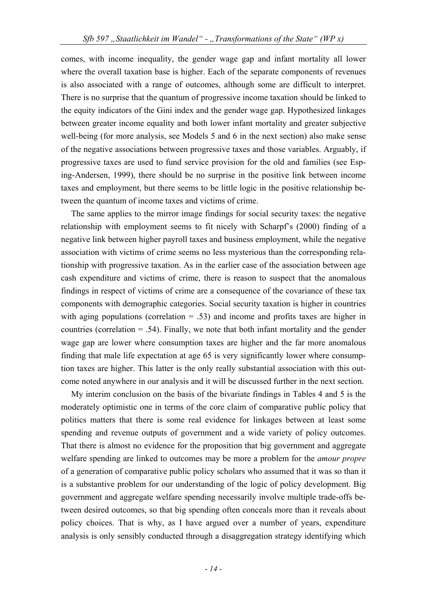comes, with income inequality, the gender wage gap and infant mortality all lower where the overall taxation base is higher. Each of the separate components of revenues is also associated with a range of outcomes, although some are difficult to interpret. There is no surprise that the quantum of progressive income taxation should be linked to the equity indicators of the Gini index and the gender wage gap. Hypothesized linkages between greater income equality and both lower infant mortality and greater subjective well-being (for more analysis, see Models 5 and 6 in the next section) also make sense of the negative associations between progressive taxes and those variables. Arguably, if progressive taxes are used to fund service provision for the old and families (see Esping-Andersen, 1999), there should be no surprise in the positive link between income taxes and employment, but there seems to be little logic in the positive relationship between the quantum of income taxes and victims of crime.

The same applies to the mirror image findings for social security taxes: the negative relationship with employment seems to fit nicely with Scharpf's (2000) finding of a negative link between higher payroll taxes and business employment, while the negative association with victims of crime seems no less mysterious than the corresponding relationship with progressive taxation. As in the earlier case of the association between age cash expenditure and victims of crime, there is reason to suspect that the anomalous findings in respect of victims of crime are a consequence of the covariance of these tax components with demographic categories. Social security taxation is higher in countries with aging populations (correlation  $= .53$ ) and income and profits taxes are higher in countries (correlation  $= .54$ ). Finally, we note that both infant mortality and the gender wage gap are lower where consumption taxes are higher and the far more anomalous finding that male life expectation at age 65 is very significantly lower where consumption taxes are higher. This latter is the only really substantial association with this outcome noted anywhere in our analysis and it will be discussed further in the next section.

My interim conclusion on the basis of the bivariate findings in Tables 4 and 5 is the moderately optimistic one in terms of the core claim of comparative public policy that politics matters that there is some real evidence for linkages between at least some spending and revenue outputs of government and a wide variety of policy outcomes. That there is almost no evidence for the proposition that big government and aggregate welfare spending are linked to outcomes may be more a problem for the *amour propre*  of a generation of comparative public policy scholars who assumed that it was so than it is a substantive problem for our understanding of the logic of policy development. Big government and aggregate welfare spending necessarily involve multiple trade-offs between desired outcomes, so that big spending often conceals more than it reveals about policy choices. That is why, as I have argued over a number of years, expenditure analysis is only sensibly conducted through a disaggregation strategy identifying which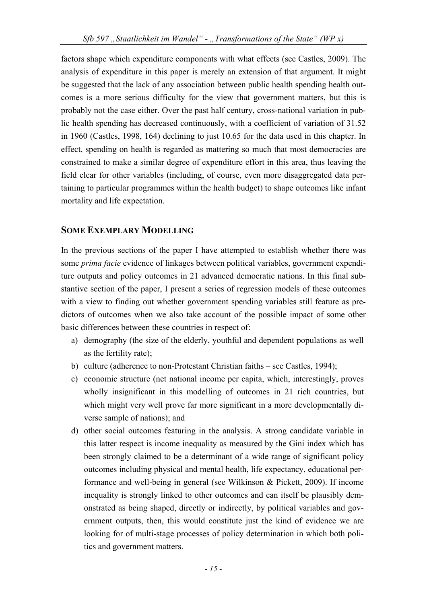factors shape which expenditure components with what effects (see Castles, 2009). The analysis of expenditure in this paper is merely an extension of that argument. It might be suggested that the lack of any association between public health spending health outcomes is a more serious difficulty for the view that government matters, but this is probably not the case either. Over the past half century, cross-national variation in public health spending has decreased continuously, with a coefficient of variation of 31.52 in 1960 (Castles, 1998, 164) declining to just 10.65 for the data used in this chapter. In effect, spending on health is regarded as mattering so much that most democracies are constrained to make a similar degree of expenditure effort in this area, thus leaving the field clear for other variables (including, of course, even more disaggregated data pertaining to particular programmes within the health budget) to shape outcomes like infant mortality and life expectation.

### **SOME EXEMPLARY MODELLING**

In the previous sections of the paper I have attempted to establish whether there was some *prima facie* evidence of linkages between political variables, government expenditure outputs and policy outcomes in 21 advanced democratic nations. In this final substantive section of the paper, I present a series of regression models of these outcomes with a view to finding out whether government spending variables still feature as predictors of outcomes when we also take account of the possible impact of some other basic differences between these countries in respect of:

- a) demography (the size of the elderly, youthful and dependent populations as well as the fertility rate);
- b) culture (adherence to non-Protestant Christian faiths see Castles, 1994);
- c) economic structure (net national income per capita, which, interestingly, proves wholly insignificant in this modelling of outcomes in 21 rich countries, but which might very well prove far more significant in a more developmentally diverse sample of nations); and
- d) other social outcomes featuring in the analysis. A strong candidate variable in this latter respect is income inequality as measured by the Gini index which has been strongly claimed to be a determinant of a wide range of significant policy outcomes including physical and mental health, life expectancy, educational performance and well-being in general (see Wilkinson & Pickett, 2009). If income inequality is strongly linked to other outcomes and can itself be plausibly demonstrated as being shaped, directly or indirectly, by political variables and government outputs, then, this would constitute just the kind of evidence we are looking for of multi-stage processes of policy determination in which both politics and government matters.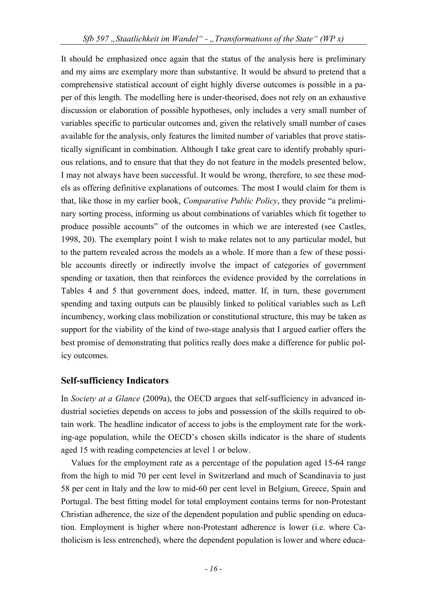It should be emphasized once again that the status of the analysis here is preliminary and my aims are exemplary more than substantive. It would be absurd to pretend that a comprehensive statistical account of eight highly diverse outcomes is possible in a paper of this length. The modelling here is under-theorised, does not rely on an exhaustive discussion or elaboration of possible hypotheses, only includes a very small number of variables specific to particular outcomes and, given the relatively small number of cases available for the analysis, only features the limited number of variables that prove statistically significant in combination. Although I take great care to identify probably spurious relations, and to ensure that that they do not feature in the models presented below, I may not always have been successful. It would be wrong, therefore, to see these models as offering definitive explanations of outcomes. The most I would claim for them is that, like those in my earlier book, *Comparative Public Policy*, they provide "a preliminary sorting process, informing us about combinations of variables which fit together to produce possible accounts" of the outcomes in which we are interested (see Castles, 1998, 20). The exemplary point I wish to make relates not to any particular model, but to the pattern revealed across the models as a whole. If more than a few of these possible accounts directly or indirectly involve the impact of categories of government spending or taxation, then that reinforces the evidence provided by the correlations in Tables 4 and 5 that government does, indeed, matter. If, in turn, these government spending and taxing outputs can be plausibly linked to political variables such as Left incumbency, working class mobilization or constitutional structure, this may be taken as support for the viability of the kind of two-stage analysis that I argued earlier offers the best promise of demonstrating that politics really does make a difference for public policy outcomes.

# **Self-sufficiency Indicators**

In *Society at a Glance* (2009a), the OECD argues that self-sufficiency in advanced industrial societies depends on access to jobs and possession of the skills required to obtain work. The headline indicator of access to jobs is the employment rate for the working-age population, while the OECD's chosen skills indicator is the share of students aged 15 with reading competencies at level 1 or below.

Values for the employment rate as a percentage of the population aged 15-64 range from the high to mid 70 per cent level in Switzerland and much of Scandinavia to just 58 per cent in Italy and the low to mid-60 per cent level in Belgium, Greece, Spain and Portugal. The best fitting model for total employment contains terms for non-Protestant Christian adherence, the size of the dependent population and public spending on education. Employment is higher where non-Protestant adherence is lower (i.e. where Catholicism is less entrenched), where the dependent population is lower and where educa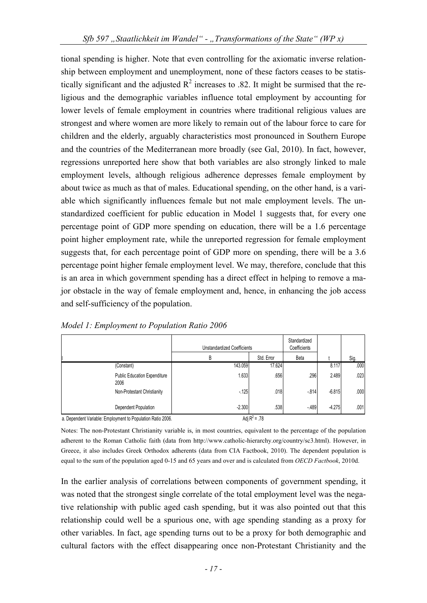tional spending is higher. Note that even controlling for the axiomatic inverse relationship between employment and unemployment, none of these factors ceases to be statistically significant and the adjusted  $R^2$  increases to .82. It might be surmised that the religious and the demographic variables influence total employment by accounting for lower levels of female employment in countries where traditional religious values are strongest and where women are more likely to remain out of the labour force to care for children and the elderly, arguably characteristics most pronounced in Southern Europe and the countries of the Mediterranean more broadly (see Gal, 2010). In fact, however, regressions unreported here show that both variables are also strongly linked to male employment levels, although religious adherence depresses female employment by about twice as much as that of males. Educational spending, on the other hand, is a variable which significantly influences female but not male employment levels. The unstandardized coefficient for public education in Model 1 suggests that, for every one percentage point of GDP more spending on education, there will be a 1.6 percentage point higher employment rate, while the unreported regression for female employment suggests that, for each percentage point of GDP more on spending, there will be a 3.6 percentage point higher female employment level. We may, therefore, conclude that this is an area in which government spending has a direct effect in helping to remove a major obstacle in the way of female employment and, hence, in enhancing the job access and self-sufficiency of the population.

|                                                                                              | <b>Unstandardized Coefficients</b>            |                                  | Standardized<br>Coefficients |          |      |
|----------------------------------------------------------------------------------------------|-----------------------------------------------|----------------------------------|------------------------------|----------|------|
|                                                                                              | В                                             | Std. Error                       | Beta                         |          | Sig. |
| (Constant)                                                                                   | 143.059                                       | 17.624                           |                              | 8.117    | .000 |
| <b>Public Education Expenditure</b><br>2006                                                  | 1.633                                         | .656                             | .296                         | 2.489    | .023 |
| Non-Protestant Christianity                                                                  | $-125$                                        | .018                             | $-814$                       | $-6.815$ | .000 |
| Dependent Population<br><b>PUBLICATE LIPT IS A PUBLICATE ON A PUBLICATE ON A PUBLIC COOK</b> | $-2.300$<br>$\cdot$ $\cdot$ $\sim$ $\sqrt{2}$ | .538<br>$\overline{\phantom{a}}$ | $-489$                       | $-4.275$ | .001 |

*Model 1: Employment to Population Ratio 2006* 

a. Dependent Variable: Employment to Population Ratio 2006.

Adj  $R^2$  = .78

Notes: The non-Protestant Christianity variable is, in most countries, equivalent to the percentage of the population adherent to the Roman Catholic faith (data from http://www.catholic-hierarchy.org/country/sc3.html). However, in Greece, it also includes Greek Orthodox adherents (data from CIA Factbook, 2010). The dependent population is equal to the sum of the population aged 0-15 and 65 years and over and is calculated from *OECD Factbook*, 2010d.

In the earlier analysis of correlations between components of government spending, it was noted that the strongest single correlate of the total employment level was the negative relationship with public aged cash spending, but it was also pointed out that this relationship could well be a spurious one, with age spending standing as a proxy for other variables. In fact, age spending turns out to be a proxy for both demographic and cultural factors with the effect disappearing once non-Protestant Christianity and the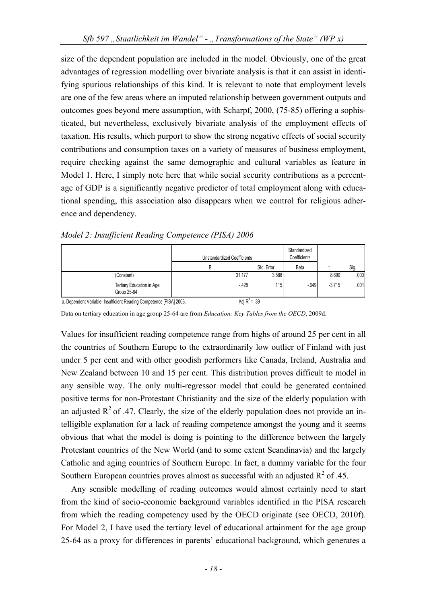size of the dependent population are included in the model. Obviously, one of the great advantages of regression modelling over bivariate analysis is that it can assist in identifying spurious relationships of this kind. It is relevant to note that employment levels are one of the few areas where an imputed relationship between government outputs and outcomes goes beyond mere assumption, with Scharpf, 2000, (75-85) offering a sophisticated, but nevertheless, exclusively bivariate analysis of the employment effects of taxation. His results, which purport to show the strong negative effects of social security contributions and consumption taxes on a variety of measures of business employment, require checking against the same demographic and cultural variables as feature in Model 1. Here, I simply note here that while social security contributions as a percentage of GDP is a significantly negative predictor of total employment along with educational spending, this association also disappears when we control for religious adherence and dependency.

|                                                                     | Unstandardized Coefficients |                 | Standardized<br>Coefficients |          |      |
|---------------------------------------------------------------------|-----------------------------|-----------------|------------------------------|----------|------|
|                                                                     | В                           | Std. Error      | Beta                         |          | Sig. |
| (Constant)                                                          | 31.177                      | 3.588           |                              | 8.690    | .000 |
| Tertiary Education in Age<br>Group 25-64                            | $-428$                      | .115            | $-649$                       | $-3.715$ | .001 |
| a. Dependent Variable: Insufficient Reading Competence [PISA] 2006. |                             | Adi $R^2$ = .39 |                              |          |      |

*Model 2: Insufficient Reading Competence (PISA) 2006* 

Data on tertiary education in age group 25-64 are from *Education: Key Tables from the OECD*, 2009d.

Values for insufficient reading competence range from highs of around 25 per cent in all the countries of Southern Europe to the extraordinarily low outlier of Finland with just under 5 per cent and with other goodish performers like Canada, Ireland, Australia and New Zealand between 10 and 15 per cent. This distribution proves difficult to model in any sensible way. The only multi-regressor model that could be generated contained positive terms for non-Protestant Christianity and the size of the elderly population with an adjusted  $R^2$  of .47. Clearly, the size of the elderly population does not provide an intelligible explanation for a lack of reading competence amongst the young and it seems obvious that what the model is doing is pointing to the difference between the largely Protestant countries of the New World (and to some extent Scandinavia) and the largely Catholic and aging countries of Southern Europe. In fact, a dummy variable for the four Southern European countries proves almost as successful with an adjusted  $R^2$  of .45.

Any sensible modelling of reading outcomes would almost certainly need to start from the kind of socio-economic background variables identified in the PISA research from which the reading competency used by the OECD originate (see OECD, 2010f). For Model 2, I have used the tertiary level of educational attainment for the age group 25-64 as a proxy for differences in parents' educational background, which generates a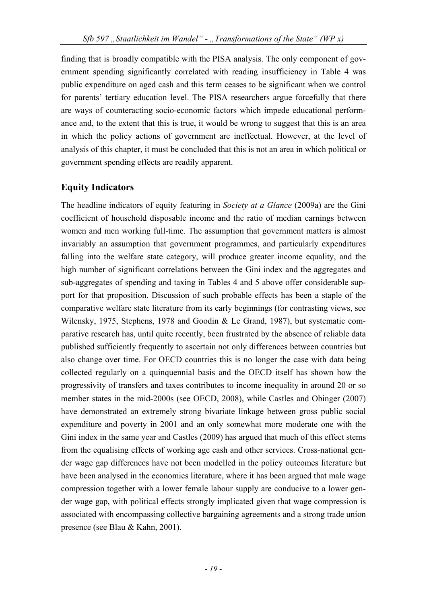finding that is broadly compatible with the PISA analysis. The only component of government spending significantly correlated with reading insufficiency in Table 4 was public expenditure on aged cash and this term ceases to be significant when we control for parents' tertiary education level. The PISA researchers argue forcefully that there are ways of counteracting socio-economic factors which impede educational performance and, to the extent that this is true, it would be wrong to suggest that this is an area in which the policy actions of government are ineffectual. However, at the level of analysis of this chapter, it must be concluded that this is not an area in which political or government spending effects are readily apparent.

# **Equity Indicators**

The headline indicators of equity featuring in *Society at a Glance* (2009a) are the Gini coefficient of household disposable income and the ratio of median earnings between women and men working full-time. The assumption that government matters is almost invariably an assumption that government programmes, and particularly expenditures falling into the welfare state category, will produce greater income equality, and the high number of significant correlations between the Gini index and the aggregates and sub-aggregates of spending and taxing in Tables 4 and 5 above offer considerable support for that proposition. Discussion of such probable effects has been a staple of the comparative welfare state literature from its early beginnings (for contrasting views, see Wilensky, 1975, Stephens, 1978 and Goodin & Le Grand, 1987), but systematic comparative research has, until quite recently, been frustrated by the absence of reliable data published sufficiently frequently to ascertain not only differences between countries but also change over time. For OECD countries this is no longer the case with data being collected regularly on a quinquennial basis and the OECD itself has shown how the progressivity of transfers and taxes contributes to income inequality in around 20 or so member states in the mid-2000s (see OECD, 2008), while Castles and Obinger (2007) have demonstrated an extremely strong bivariate linkage between gross public social expenditure and poverty in 2001 and an only somewhat more moderate one with the Gini index in the same year and Castles (2009) has argued that much of this effect stems from the equalising effects of working age cash and other services. Cross-national gender wage gap differences have not been modelled in the policy outcomes literature but have been analysed in the economics literature, where it has been argued that male wage compression together with a lower female labour supply are conducive to a lower gender wage gap, with political effects strongly implicated given that wage compression is associated with encompassing collective bargaining agreements and a strong trade union presence (see Blau & Kahn, 2001).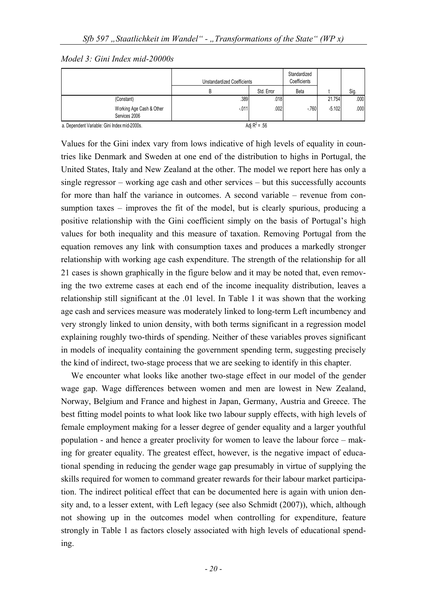*Model 3: Gini Index mid-20000s* 

|                                           | <b>Unstandardized Coefficients</b> |            | Standardized<br>Coefficients |          |      |
|-------------------------------------------|------------------------------------|------------|------------------------------|----------|------|
|                                           | B                                  | Std. Error | Beta                         |          | Sig. |
| (Constant)                                | .389                               | .018       |                              | 21.754   | .000 |
| Working Age Cash & Other<br>Services 2006 | $-011$                             | .002       | $-760$                       | $-5.102$ | .000 |

a. Dependent Variable: Gini Index mid-2000s.

Values for the Gini index vary from lows indicative of high levels of equality in countries like Denmark and Sweden at one end of the distribution to highs in Portugal, the United States, Italy and New Zealand at the other. The model we report here has only a single regressor – working age cash and other services – but this successfully accounts for more than half the variance in outcomes. A second variable – revenue from consumption taxes – improves the fit of the model, but is clearly spurious, producing a positive relationship with the Gini coefficient simply on the basis of Portugal's high values for both inequality and this measure of taxation. Removing Portugal from the equation removes any link with consumption taxes and produces a markedly stronger relationship with working age cash expenditure. The strength of the relationship for all 21 cases is shown graphically in the figure below and it may be noted that, even removing the two extreme cases at each end of the income inequality distribution, leaves a relationship still significant at the .01 level. In Table 1 it was shown that the working age cash and services measure was moderately linked to long-term Left incumbency and very strongly linked to union density, with both terms significant in a regression model explaining roughly two-thirds of spending. Neither of these variables proves significant in models of inequality containing the government spending term, suggesting precisely the kind of indirect, two-stage process that we are seeking to identify in this chapter.

We encounter what looks like another two-stage effect in our model of the gender wage gap. Wage differences between women and men are lowest in New Zealand, Norway, Belgium and France and highest in Japan, Germany, Austria and Greece. The best fitting model points to what look like two labour supply effects, with high levels of female employment making for a lesser degree of gender equality and a larger youthful population - and hence a greater proclivity for women to leave the labour force – making for greater equality. The greatest effect, however, is the negative impact of educational spending in reducing the gender wage gap presumably in virtue of supplying the skills required for women to command greater rewards for their labour market participation. The indirect political effect that can be documented here is again with union density and, to a lesser extent, with Left legacy (see also Schmidt (2007)), which, although not showing up in the outcomes model when controlling for expenditure, feature strongly in Table 1 as factors closely associated with high levels of educational spending.

Adi  $R^2$  = .56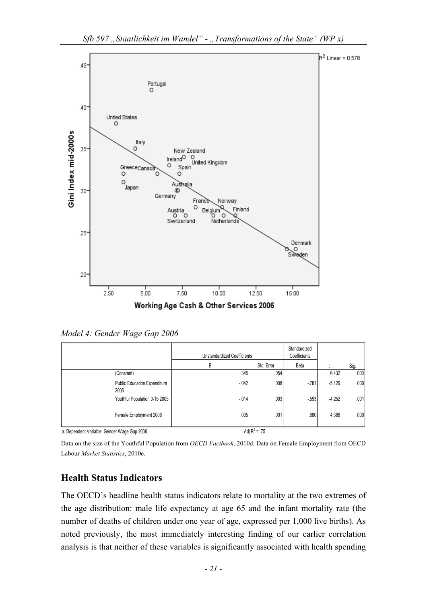

*Model 4: Gender Wage Gap 2006* 

|                                             | <b>Unstandardized Coefficients</b> |                | Standardized<br>Coefficients |          |      |
|---------------------------------------------|------------------------------------|----------------|------------------------------|----------|------|
|                                             | B                                  | Std. Error     | Beta                         |          | Sig. |
| (Constant)                                  | .345                               | .054           |                              | 6.432    | .000 |
| <b>Public Education Expenditure</b><br>2006 | $-0.042$                           | .008           | $-781$                       | $-5.129$ | .000 |
| Youthful Population 0-15 2005               | $-0.014$                           | .003           | $-593$                       | $-4.252$ | .001 |
| Female Employment 2006                      | .005                               | .001<br>$\sim$ | .680                         | 4.388    | .000 |

a. Dependent Variable: Gender Wage Gap 2006.

Adj  $R^2$  = .75

Data on the size of the Youthful Population from *OECD Factbook*, 2010d. Data on Female Employment from OECD Labour *Market Statistics*, 2010e.

# **Health Status Indicators**

The OECD's headline health status indicators relate to mortality at the two extremes of the age distribution: male life expectancy at age 65 and the infant mortality rate (the number of deaths of children under one year of age, expressed per 1,000 live births). As noted previously, the most immediately interesting finding of our earlier correlation analysis is that neither of these variables is significantly associated with health spending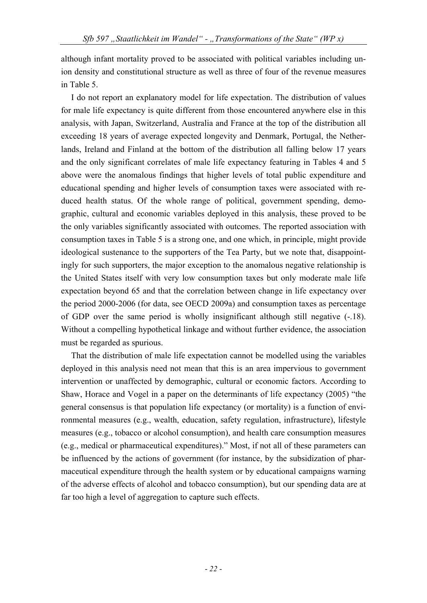although infant mortality proved to be associated with political variables including union density and constitutional structure as well as three of four of the revenue measures in Table 5.

I do not report an explanatory model for life expectation. The distribution of values for male life expectancy is quite different from those encountered anywhere else in this analysis, with Japan, Switzerland, Australia and France at the top of the distribution all exceeding 18 years of average expected longevity and Denmark, Portugal, the Netherlands, Ireland and Finland at the bottom of the distribution all falling below 17 years and the only significant correlates of male life expectancy featuring in Tables 4 and 5 above were the anomalous findings that higher levels of total public expenditure and educational spending and higher levels of consumption taxes were associated with reduced health status. Of the whole range of political, government spending, demographic, cultural and economic variables deployed in this analysis, these proved to be the only variables significantly associated with outcomes. The reported association with consumption taxes in Table 5 is a strong one, and one which, in principle, might provide ideological sustenance to the supporters of the Tea Party, but we note that, disappointingly for such supporters, the major exception to the anomalous negative relationship is the United States itself with very low consumption taxes but only moderate male life expectation beyond 65 and that the correlation between change in life expectancy over the period 2000-2006 (for data, see OECD 2009a) and consumption taxes as percentage of GDP over the same period is wholly insignificant although still negative (-.18). Without a compelling hypothetical linkage and without further evidence, the association must be regarded as spurious.

That the distribution of male life expectation cannot be modelled using the variables deployed in this analysis need not mean that this is an area impervious to government intervention or unaffected by demographic, cultural or economic factors. According to Shaw, Horace and Vogel in a paper on the determinants of life expectancy (2005) "the general consensus is that population life expectancy (or mortality) is a function of environmental measures (e.g., wealth, education, safety regulation, infrastructure), lifestyle measures (e.g., tobacco or alcohol consumption), and health care consumption measures (e.g., medical or pharmaceutical expenditures)." Most, if not all of these parameters can be influenced by the actions of government (for instance, by the subsidization of pharmaceutical expenditure through the health system or by educational campaigns warning of the adverse effects of alcohol and tobacco consumption), but our spending data are at far too high a level of aggregation to capture such effects.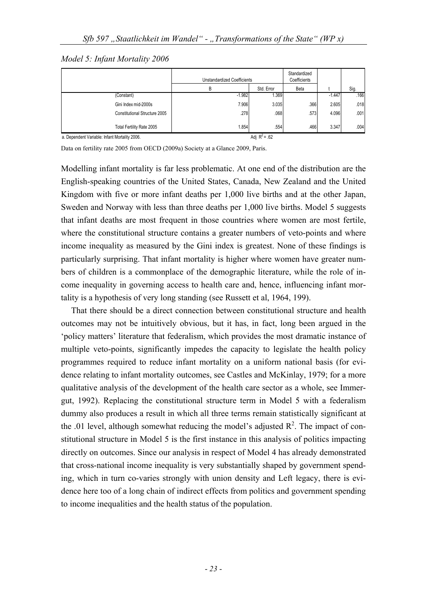*Model 5: Infant Mortality 2006* 

|                                               | <b>Unstandardized Coefficients</b> |                 | Standardized<br>Coefficients |          |      |
|-----------------------------------------------|------------------------------------|-----------------|------------------------------|----------|------|
|                                               | В                                  | Std. Error      | Beta                         |          | Sig. |
| (Constant)                                    | $-1.982$                           | .369            |                              | $-1.447$ | .166 |
| Gini Index mid-2000s                          | 7.906                              | 3.035           | .366                         | 2.605    | .018 |
| Constitutional Structure 2005                 | .278                               | .068            | .573                         | 4.096    | .001 |
| Total Fertility Rate 2005                     | 1.854                              | .554            | .466                         | 3.347    | .004 |
| a. Dependent Variable: Infant Mortality 2006. |                                    | Adi $R^2$ = .62 |                              |          |      |

Data on fertility rate 2005 from OECD (2009a) Society at a Glance 2009, Paris.

Modelling infant mortality is far less problematic. At one end of the distribution are the English-speaking countries of the United States, Canada, New Zealand and the United Kingdom with five or more infant deaths per 1,000 live births and at the other Japan, Sweden and Norway with less than three deaths per 1,000 live births. Model 5 suggests that infant deaths are most frequent in those countries where women are most fertile, where the constitutional structure contains a greater numbers of veto-points and where income inequality as measured by the Gini index is greatest. None of these findings is particularly surprising. That infant mortality is higher where women have greater numbers of children is a commonplace of the demographic literature, while the role of income inequality in governing access to health care and, hence, influencing infant mortality is a hypothesis of very long standing (see Russett et al, 1964, 199).

That there should be a direct connection between constitutional structure and health outcomes may not be intuitively obvious, but it has, in fact, long been argued in the 'policy matters' literature that federalism, which provides the most dramatic instance of multiple veto-points, significantly impedes the capacity to legislate the health policy programmes required to reduce infant mortality on a uniform national basis (for evidence relating to infant mortality outcomes, see Castles and McKinlay, 1979; for a more qualitative analysis of the development of the health care sector as a whole, see Immergut, 1992). Replacing the constitutional structure term in Model 5 with a federalism dummy also produces a result in which all three terms remain statistically significant at the .01 level, although somewhat reducing the model's adjusted  $\mathbb{R}^2$ . The impact of constitutional structure in Model 5 is the first instance in this analysis of politics impacting directly on outcomes. Since our analysis in respect of Model 4 has already demonstrated that cross-national income inequality is very substantially shaped by government spending, which in turn co-varies strongly with union density and Left legacy, there is evidence here too of a long chain of indirect effects from politics and government spending to income inequalities and the health status of the population.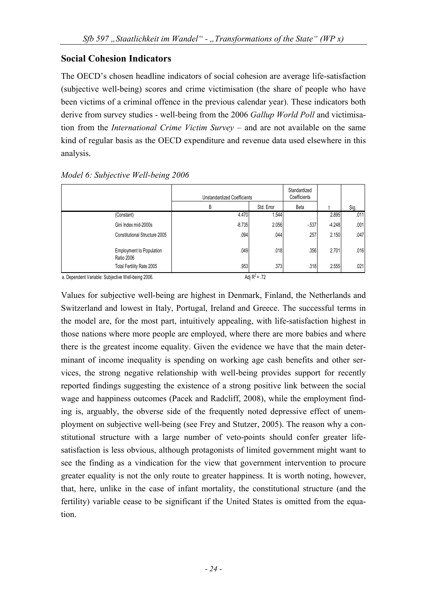### **Social Cohesion Indicators**

The OECD's chosen headline indicators of social cohesion are average life-satisfaction (subjective well-being) scores and crime victimisation (the share of people who have been victims of a criminal offence in the previous calendar year). These indicators both derive from survey studies - well-being from the 2006 *Gallup World Poll* and victimisation from the *International Crime Victim Survey* – and are not available on the same kind of regular basis as the OECD expenditure and revenue data used elsewhere in this analysis.

|                                                      | Unstandardized Coefficients |            | Standardized<br>Coefficients |          |      |
|------------------------------------------------------|-----------------------------|------------|------------------------------|----------|------|
|                                                      | B                           | Std. Error | Beta                         |          | Sig. |
| (Constant)                                           | 4.470                       | .544       |                              | 2.895    | .011 |
| Gini Index mid-2000s                                 | $-8.735$                    | 2.056      | $-537$                       | $-4.248$ | .001 |
| Constitutional Structure 2005                        | .094                        | .044       | .257                         | 2.150    | .047 |
| <b>Employment to Population</b><br><b>Ratio 2006</b> | .049                        | .018       | .356                         | 2.701    | .016 |
| Total Fertility Rate 2005                            | .953                        | .373       | .318                         | 2.555    | .021 |

*Model 6: Subjective Well-being 2006* 

a. Dependent Variable: Subjective Well-being 2006.  $Adj R^2 = .72$ 

Values for subjective well-being are highest in Denmark, Finland, the Netherlands and Switzerland and lowest in Italy, Portugal, Ireland and Greece. The successful terms in the model are, for the most part, intuitively appealing, with life-satisfaction highest in those nations where more people are employed, where there are more babies and where there is the greatest income equality. Given the evidence we have that the main determinant of income inequality is spending on working age cash benefits and other services, the strong negative relationship with well-being provides support for recently reported findings suggesting the existence of a strong positive link between the social wage and happiness outcomes (Pacek and Radcliff, 2008), while the employment finding is, arguably, the obverse side of the frequently noted depressive effect of unemployment on subjective well-being (see Frey and Stutzer, 2005). The reason why a constitutional structure with a large number of veto-points should confer greater lifesatisfaction is less obvious, although protagonists of limited government might want to see the finding as a vindication for the view that government intervention to procure greater equality is not the only route to greater happiness. It is worth noting, however, that, here, unlike in the case of infant mortality, the constitutional structure (and the fertility) variable cease to be significant if the United States is omitted from the equation.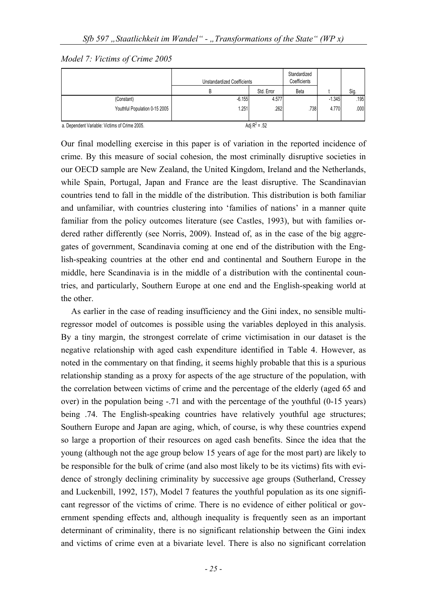*Model 7: Victims of Crime 2005* 

|                               | <b>Unstandardized Coefficients</b> |            | Standardized<br>Coefficients |          |      |
|-------------------------------|------------------------------------|------------|------------------------------|----------|------|
|                               | B                                  | Std. Error | Beta                         |          | Sig. |
| (Constant)                    | $-6.155$                           | 4.577      |                              | $-1.345$ | .195 |
| Youthful Population 0-15 2005 | 1.251                              | .262       | .738                         | 4.770    | .000 |

a. Dependent Variable: Victims of Crime 2005.

Our final modelling exercise in this paper is of variation in the reported incidence of crime. By this measure of social cohesion, the most criminally disruptive societies in our OECD sample are New Zealand, the United Kingdom, Ireland and the Netherlands, while Spain, Portugal, Japan and France are the least disruptive. The Scandinavian countries tend to fall in the middle of the distribution. This distribution is both familiar and unfamiliar, with countries clustering into 'families of nations' in a manner quite familiar from the policy outcomes literature (see Castles, 1993), but with families ordered rather differently (see Norris, 2009). Instead of, as in the case of the big aggregates of government, Scandinavia coming at one end of the distribution with the English-speaking countries at the other end and continental and Southern Europe in the middle, here Scandinavia is in the middle of a distribution with the continental countries, and particularly, Southern Europe at one end and the English-speaking world at the other.

As earlier in the case of reading insufficiency and the Gini index, no sensible multiregressor model of outcomes is possible using the variables deployed in this analysis. By a tiny margin, the strongest correlate of crime victimisation in our dataset is the negative relationship with aged cash expenditure identified in Table 4. However, as noted in the commentary on that finding, it seems highly probable that this is a spurious relationship standing as a proxy for aspects of the age structure of the population, with the correlation between victims of crime and the percentage of the elderly (aged 65 and over) in the population being -.71 and with the percentage of the youthful (0-15 years) being .74. The English-speaking countries have relatively youthful age structures; Southern Europe and Japan are aging, which, of course, is why these countries expend so large a proportion of their resources on aged cash benefits. Since the idea that the young (although not the age group below 15 years of age for the most part) are likely to be responsible for the bulk of crime (and also most likely to be its victims) fits with evidence of strongly declining criminality by successive age groups (Sutherland, Cressey and Luckenbill, 1992, 157), Model 7 features the youthful population as its one significant regressor of the victims of crime. There is no evidence of either political or government spending effects and, although inequality is frequently seen as an important determinant of criminality, there is no significant relationship between the Gini index and victims of crime even at a bivariate level. There is also no significant correlation

Adi  $R^2$  = .52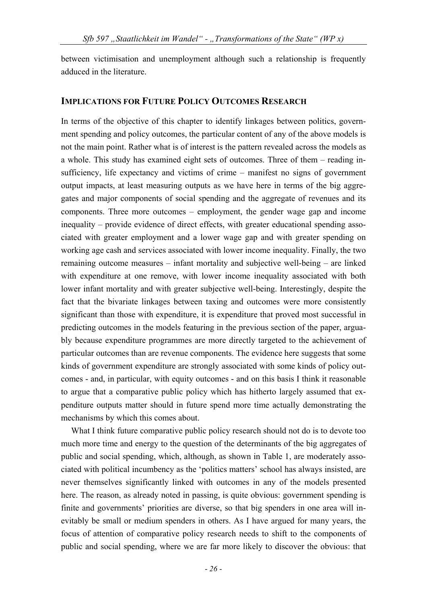between victimisation and unemployment although such a relationship is frequently adduced in the literature.

#### **IMPLICATIONS FOR FUTURE POLICY OUTCOMES RESEARCH**

In terms of the objective of this chapter to identify linkages between politics, government spending and policy outcomes, the particular content of any of the above models is not the main point. Rather what is of interest is the pattern revealed across the models as a whole. This study has examined eight sets of outcomes. Three of them – reading insufficiency, life expectancy and victims of crime – manifest no signs of government output impacts, at least measuring outputs as we have here in terms of the big aggregates and major components of social spending and the aggregate of revenues and its components. Three more outcomes – employment, the gender wage gap and income inequality – provide evidence of direct effects, with greater educational spending associated with greater employment and a lower wage gap and with greater spending on working age cash and services associated with lower income inequality. Finally, the two remaining outcome measures – infant mortality and subjective well-being – are linked with expenditure at one remove, with lower income inequality associated with both lower infant mortality and with greater subjective well-being. Interestingly, despite the fact that the bivariate linkages between taxing and outcomes were more consistently significant than those with expenditure, it is expenditure that proved most successful in predicting outcomes in the models featuring in the previous section of the paper, arguably because expenditure programmes are more directly targeted to the achievement of particular outcomes than are revenue components. The evidence here suggests that some kinds of government expenditure are strongly associated with some kinds of policy outcomes - and, in particular, with equity outcomes - and on this basis I think it reasonable to argue that a comparative public policy which has hitherto largely assumed that expenditure outputs matter should in future spend more time actually demonstrating the mechanisms by which this comes about.

What I think future comparative public policy research should not do is to devote too much more time and energy to the question of the determinants of the big aggregates of public and social spending, which, although, as shown in Table 1, are moderately associated with political incumbency as the 'politics matters' school has always insisted, are never themselves significantly linked with outcomes in any of the models presented here. The reason, as already noted in passing, is quite obvious: government spending is finite and governments' priorities are diverse, so that big spenders in one area will inevitably be small or medium spenders in others. As I have argued for many years, the focus of attention of comparative policy research needs to shift to the components of public and social spending, where we are far more likely to discover the obvious: that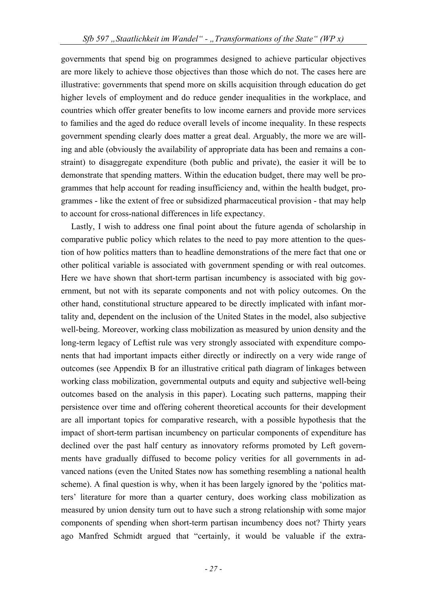governments that spend big on programmes designed to achieve particular objectives are more likely to achieve those objectives than those which do not. The cases here are illustrative: governments that spend more on skills acquisition through education do get higher levels of employment and do reduce gender inequalities in the workplace, and countries which offer greater benefits to low income earners and provide more services to families and the aged do reduce overall levels of income inequality. In these respects government spending clearly does matter a great deal. Arguably, the more we are willing and able (obviously the availability of appropriate data has been and remains a constraint) to disaggregate expenditure (both public and private), the easier it will be to demonstrate that spending matters. Within the education budget, there may well be programmes that help account for reading insufficiency and, within the health budget, programmes - like the extent of free or subsidized pharmaceutical provision - that may help to account for cross-national differences in life expectancy.

Lastly, I wish to address one final point about the future agenda of scholarship in comparative public policy which relates to the need to pay more attention to the question of how politics matters than to headline demonstrations of the mere fact that one or other political variable is associated with government spending or with real outcomes. Here we have shown that short-term partisan incumbency is associated with big government, but not with its separate components and not with policy outcomes. On the other hand, constitutional structure appeared to be directly implicated with infant mortality and, dependent on the inclusion of the United States in the model, also subjective well-being. Moreover, working class mobilization as measured by union density and the long-term legacy of Leftist rule was very strongly associated with expenditure components that had important impacts either directly or indirectly on a very wide range of outcomes (see Appendix B for an illustrative critical path diagram of linkages between working class mobilization, governmental outputs and equity and subjective well-being outcomes based on the analysis in this paper). Locating such patterns, mapping their persistence over time and offering coherent theoretical accounts for their development are all important topics for comparative research, with a possible hypothesis that the impact of short-term partisan incumbency on particular components of expenditure has declined over the past half century as innovatory reforms promoted by Left governments have gradually diffused to become policy verities for all governments in advanced nations (even the United States now has something resembling a national health scheme). A final question is why, when it has been largely ignored by the 'politics matters' literature for more than a quarter century, does working class mobilization as measured by union density turn out to have such a strong relationship with some major components of spending when short-term partisan incumbency does not? Thirty years ago Manfred Schmidt argued that "certainly, it would be valuable if the extra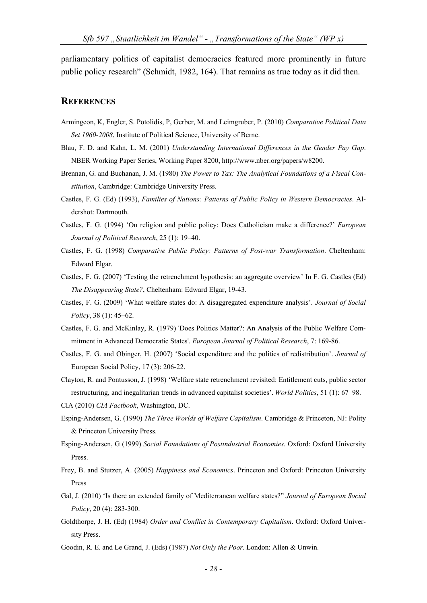parliamentary politics of capitalist democracies featured more prominently in future public policy research" (Schmidt, 1982, 164). That remains as true today as it did then.

#### **REFERENCES**

- Armingeon, K, Engler, S. Potolidis, P, Gerber, M. and Leimgruber, P. (2010) *Comparative Political Data Set 1960-2008*, Institute of Political Science, University of Berne.
- Blau, F. D. and Kahn, L. M. (2001) *Understanding International Differences in the Gender Pay Gap*. NBER Working Paper Series, Working Paper 8200, http://www.nber.org/papers/w8200.
- Brennan, G. and Buchanan, J. M. (1980) *The Power to Tax: The Analytical Foundations of a Fiscal Constitution*, Cambridge: Cambridge University Press.
- Castles, F. G. (Ed) (1993), *Families of Nations: Patterns of Public Policy in Western Democracies*. Aldershot: Dartmouth.
- Castles, F. G. (1994) 'On religion and public policy: Does Catholicism make a difference?' *European Journal of Political Research*, 25 (1): 19–40.
- Castles, F. G. (1998) *Comparative Public Policy: Patterns of Post-war Transformation*. Cheltenham: Edward Elgar.
- Castles, F. G. (2007) 'Testing the retrenchment hypothesis: an aggregate overview' In F. G. Castles (Ed) *The Disappearing State?*, Cheltenham: Edward Elgar, 19-43.
- Castles, F. G. (2009) 'What welfare states do: A disaggregated expenditure analysis'. *Journal of Social Policy*, 38 (1): 45–62.
- Castles, F. G. and McKinlay, R. (1979) 'Does Politics Matter?: An Analysis of the Public Welfare Commitment in Advanced Democratic States'. *European Journal of Political Research*, 7: 169-86.
- Castles, F. G. and Obinger, H. (2007) 'Social expenditure and the politics of redistribution'. *Journal of*  European Social Policy, 17 (3): 206-22.
- Clayton, R. and Pontusson, J. (1998) 'Welfare state retrenchment revisited: Entitlement cuts, public sector restructuring, and inegalitarian trends in advanced capitalist societies'. *World Politics*, 51 (1): 67–98.

CIA (2010) *CIA Factbook*, Washington, DC.

- Esping-Andersen, G. (1990) *The Three Worlds of Welfare Capitalism*. Cambridge & Princeton, NJ: Polity & Princeton University Press.
- Esping-Andersen, G (1999) *Social Foundations of Postindustrial Economies*. Oxford: Oxford University Press.
- Frey, B. and Stutzer, A. (2005) *Happiness and Economics*. Princeton and Oxford: Princeton University Press
- Gal, J. (2010) 'Is there an extended family of Mediterranean welfare states?" *Journal of European Social Policy*, 20 (4): 283-300.
- Goldthorpe, J. H. (Ed) (1984) *Order and Conflict in Contemporary Capitalism*. Oxford: Oxford University Press.
- Goodin, R. E. and Le Grand, J. (Eds) (1987) *Not Only the Poor*. London: Allen & Unwin.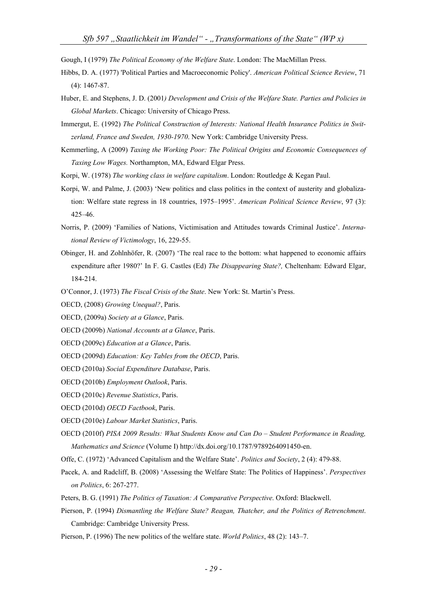Gough, I (1979) *The Political Economy of the Welfare State*. London: The MacMillan Press.

- Hibbs, D. A. (1977) 'Political Parties and Macroeconomic Policy'. *American Political Science Review*, 71 (4): 1467-87.
- Huber, E. and Stephens, J. D. (2001*) Development and Crisis of the Welfare State. Parties and Policies in Global Markets*. Chicago: University of Chicago Press.
- Immergut, E. (1992) *The Political Construction of Interests: National Health Insurance Politics in Switzerland, France and Sweden, 1930-1970*. New York: Cambridge University Press.
- Kemmerling, A (2009) *Taxing the Working Poor: The Political Origins and Economic Consequences of Taxing Low Wages.* Northampton, MA, Edward Elgar Press.
- Korpi, W. (1978) *The working class in welfare capitalism*. London: Routledge & Kegan Paul.
- Korpi, W. and Palme, J. (2003) 'New politics and class politics in the context of austerity and globalization: Welfare state regress in 18 countries, 1975–1995'. *American Political Science Review*, 97 (3): 425–46.
- Norris, P. (2009) 'Families of Nations, Victimisation and Attitudes towards Criminal Justice'. *International Review of Victimology*, 16, 229-55.
- Obinger, H. and Zohlnhöfer, R. (2007) 'The real race to the bottom: what happened to economic affairs expenditure after 1980?' In F. G. Castles (Ed) *The Disappearing State?,* Cheltenham: Edward Elgar, 184-214.
- O'Connor, J. (1973) *The Fiscal Crisis of the State*. New York: St. Martin's Press.
- OECD, (2008) *Growing Unequal?*, Paris.
- OECD, (2009a) *Society at a Glance*, Paris.
- OECD (2009b) *National Accounts at a Glance*, Paris.
- OECD (2009c) *Education at a Glance*, Paris.
- OECD (2009d) *Education: Key Tables from the OECD*, Paris.
- OECD (2010a) *Social Expenditure Database*, Paris.
- OECD (2010b) *Employment Outlook*, Paris.
- OECD (2010c) *Revenue Statistics*, Paris.
- OECD (2010d) *OECD Factbook*, Paris.
- OECD (2010e) *Labour Market Statistics*, Paris.
- OECD (2010f) *PISA 2009 Results: What Students Know and Can Do Student Performance in Reading, Mathematics and Science* (Volume I) http://dx.doi.org/10.1787/9789264091450-en.
- Offe, C. (1972) 'Advanced Capitalism and the Welfare State'. *Politics and Society*, 2 (4): 479-88.
- Pacek, A. and Radcliff, B. (2008) 'Assessing the Welfare State: The Politics of Happiness'. *Perspectives on Politics*, 6: 267-277.
- Peters, B. G. (1991) *The Politics of Taxation: A Comparative Perspective*. Oxford: Blackwell.
- Pierson, P. (1994) *Dismantling the Welfare State? Reagan, Thatcher, and the Politics of Retrenchment*. Cambridge: Cambridge University Press.
- Pierson, P. (1996) The new politics of the welfare state. *World Politics*, 48 (2): 143–7.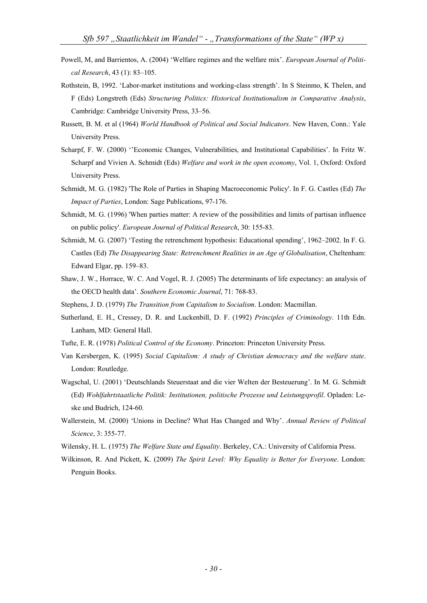- Powell, M, and Barrientos, A. (2004) 'Welfare regimes and the welfare mix'. *European Journal of Political Research*, 43 (1): 83–105.
- Rothstein, B, 1992. 'Labor-market institutions and working-class strength'. In S Steinmo, K Thelen, and F (Eds) Longstreth (Eds) *Structuring Politics: Historical Institutionalism in Comparative Analysis*, Cambridge: Cambridge University Press, 33–56.
- Russett, B. M. et al (1964) *World Handbook of Political and Social Indicators*. New Haven, Conn.: Yale University Press.
- Scharpf, F. W. (2000) ''Economic Changes, Vulnerabilities, and Institutional Capabilities'. In Fritz W. Scharpf and Vivien A. Schmidt (Eds) *Welfare and work in the open economy*, Vol. 1, Oxford: Oxford University Press.
- Schmidt, M. G. (1982) 'The Role of Parties in Shaping Macroeconomic Policy'. In F. G. Castles (Ed) *The Impact of Parties*, London: Sage Publications, 97-176.
- Schmidt, M. G. (1996) 'When parties matter: A review of the possibilities and limits of partisan influence on public policy'. *European Journal of Political Research*, 30: 155-83.
- Schmidt, M. G. (2007) 'Testing the retrenchment hypothesis: Educational spending', 1962–2002. In F. G. Castles (Ed) *The Disappearing State: Retrenchment Realities in an Age of Globalisation*, Cheltenham: Edward Elgar, pp. 159–83.
- Shaw, J. W., Horrace, W. C. And Vogel, R. J. (2005) The determinants of life expectancy: an analysis of the OECD health data'. *Southern Economic Journal*, 71: 768-83.
- Stephens, J. D. (1979) *The Transition from Capitalism to Socialism*. London: Macmillan.
- Sutherland, E. H., Cressey, D. R. and Luckenbill, D. F. (1992) *Principles of Criminology*. 11th Edn. Lanham, MD: General Hall.
- Tufte, E. R. (1978) *Political Control of the Economy*. Princeton: Princeton University Press.
- Van Kersbergen, K. (1995) *Social Capitalism: A study of Christian democracy and the welfare state*. London: Routledge.
- Wagschal, U. (2001) 'Deutschlands Steuerstaat and die vier Welten der Besteuerung'. In M. G. Schmidt (Ed) *Wohlfahrtstaatliche Politik: Institutionen, politische Prozesse und Leistungsprofil*. Opladen: Leske und Budrich, 124-60.
- Wallerstein, M. (2000) 'Unions in Decline? What Has Changed and Why'. *Annual Review of Political Science*, 3: 355-77.
- Wilensky, H. L. (1975) *The Welfare State and Equality*. Berkeley, CA.: University of California Press.
- Wilkinson, R. And Pickett, K. (2009) *The Spirit Level: Why Equality is Better for Everyone*. London: Penguin Books.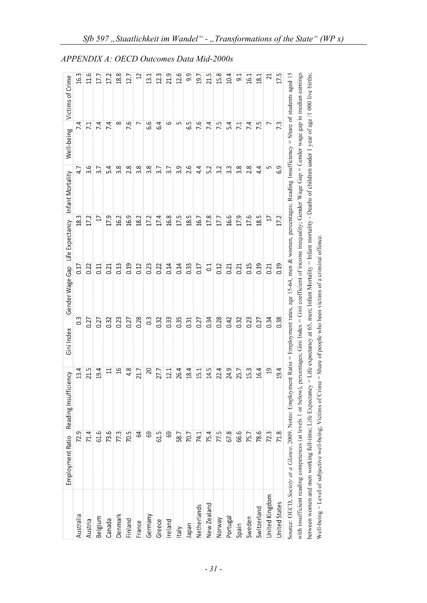|                | Employment Ratio Reading Insuffi | ciency                                                                                                                                                                                  | Gini Index | Gender Wage Gap Life Expectancy |        | Infant Mortality | Well-being | Victims of Crime |
|----------------|----------------------------------|-----------------------------------------------------------------------------------------------------------------------------------------------------------------------------------------|------------|---------------------------------|--------|------------------|------------|------------------|
| Australia      | 72.9                             | 13.4                                                                                                                                                                                    | 3          | 0.17                            | 18.3   | 4.7              | 7.4        | 16.3             |
| Austria        | 71.4                             | 21.5                                                                                                                                                                                    | 0.27       | 0.22                            | 17.2   | 3.6              | 7.1        | 11.6             |
| Belgium        | 61.6                             | 19.4                                                                                                                                                                                    | 0.27       | 0.11                            | $\Box$ | 3.7              | 7.4        | 17.7             |
| Canada         | 73.6                             | $\Xi$                                                                                                                                                                                   | 0.32       | 0.21                            | 17.9   | 5.4              | 7.4        | 17.2             |
| Denmark        | 77.3                             | $\overline{a}$                                                                                                                                                                          | 0.23       | 0.13                            | 16.2   | 3.8              | ∞          | 18.8             |
| Finland        | 70.5                             | 4.8                                                                                                                                                                                     | 0.27       | 0.19                            | 16.9   | 2.8              | 7.6        | 12.7             |
| France         | 2                                | 21.7                                                                                                                                                                                    | 0.28       | 0.12                            | 182    | 3.8              | L          | Z                |
| Germany        | ශි                               | 20                                                                                                                                                                                      | 0.3        | 0.23                            | 17.2   | 3.8              | 6.6        | 13.1             |
| Greece         | 61.5                             | 27.7                                                                                                                                                                                    | 0.32       | 0.22                            | 17.4   | 3.7              | 6.4        | 12.3             |
| Ireland        | ශී                               | 12.1                                                                                                                                                                                    | 0.33       | 0.14                            | 16.8   | 3.7              | 6          | 21.9             |
| Italy          | 58.7                             | 26.4                                                                                                                                                                                    | 0.35       | 0.14                            | 17.5   | 9<br>ന്          | ഥ          | 12.6             |
| Japan          | 70.7                             | 18.4                                                                                                                                                                                    | 0.31       | 0.33                            | 18.5   | 2.6              | 6.5        | 9.9              |
| Netherlands    | 74.1                             | 15.1                                                                                                                                                                                    | 0.27       | 0.17                            | 16.7   | 4.4              | 7.6        | 19.7             |
| New Zealand    | 75.4                             | 14.5                                                                                                                                                                                    | 0.34       | 0.1                             | 17.8   | 5.2              | 7.4        | 21.5             |
| Norway         | 77.5                             | 22.4                                                                                                                                                                                    | 0.28       | 0.12                            | 17.7   | 3.2              | 7.5        | 15.8             |
| Portugal       | 67.8                             | 24.9                                                                                                                                                                                    | 0.42       | 0.21                            | 16.6   | 3.3              | 5.4        | 10.4             |
| Spain          | 66.6                             | 25.7                                                                                                                                                                                    | 0.32       | 0.21                            | 17.9   | 3.8              | 7.1        | 9.1              |
| Sweden         | 75.7                             | 15.3                                                                                                                                                                                    | 0.23       | 0.15                            | 17.6   | 2.8              | 7.4        | 16.1             |
| Switzerland    | 78.6                             | 16.4                                                                                                                                                                                    | 0.27       | 0.19                            | 18.5   | 4.4              | 7.5        | 18.1             |
| United Kingdom | 72.3                             | $\overline{a}$                                                                                                                                                                          | 0.34       | 0.21                            | 17     | Б                | L          | ನ                |
| United States  | 71.8                             | 19.4                                                                                                                                                                                    | 0.38       | 0.19                            | 17.2   | 6.9              | 7.3        | 17.5             |
|                |                                  | Source: OECD, Society at a Glance, 2009. Notes: Employment Ratio = Employment rates, age 15-64, men & women, percentages; Reading Insufficiency = Share of students aged 15             |            |                                 |        |                  |            |                  |
|                |                                  | with insufficient reading competences (at levels 1 or below), percentages; Gini Index = Gini coefficient of income inequality; Gender Wage Gap = Gender wage gap in median earnings     |            |                                 |        |                  |            |                  |
|                |                                  | between women and men working full-time; Life Expectancy = Life expectancy at 65, men; Infant Mortality = Infant mortality - Deaths of children under 1 year of age /1 000 live births; |            |                                 |        |                  |            |                  |
|                |                                  | Well-being = Level of subjective well-being; Victims of Crime = Share of people who been victims of a criminal offence.                                                                 |            |                                 |        |                  |            |                  |

*APPENDIX A: OECD Outcomes Data Mid-2000s*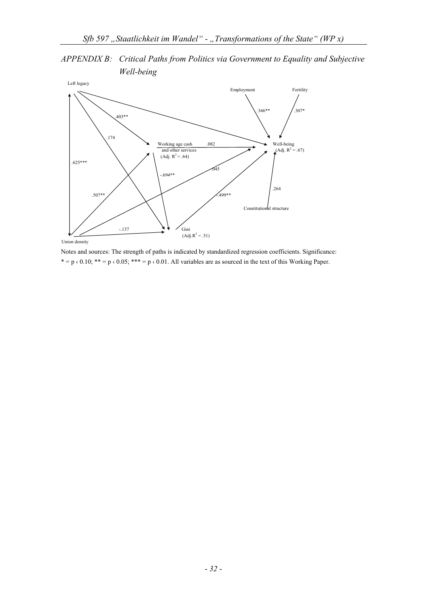*APPENDIX B: Critical Paths from Politics via Government to Equality and Subjective Well-being* 



Notes and sources: The strength of paths is indicated by standardized regression coefficients. Significance: \* = p  $\le 0.10$ ; \*\* = p  $\le 0.05$ ; \*\*\* = p  $\le 0.01$ . All variables are as sourced in the text of this Working Paper.